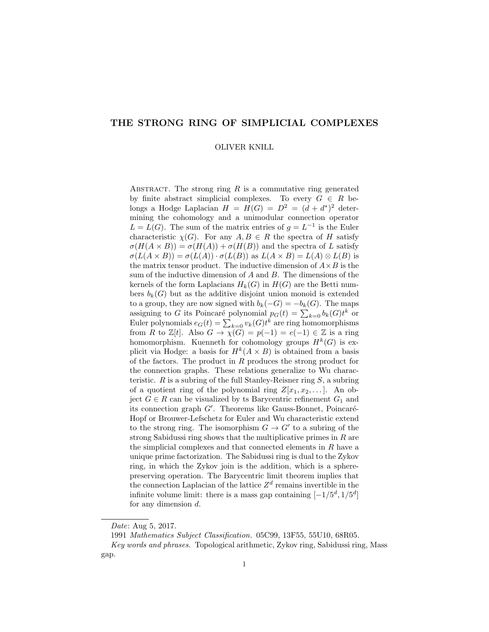# THE STRONG RING OF SIMPLICIAL COMPLEXES

#### OLIVER KNILL

ABSTRACT. The strong ring  $R$  is a commutative ring generated by finite abstract simplicial complexes. To every  $G \in R$  belongs a Hodge Laplacian  $H = H(G) = D^2 = (d + d^*)^2$  determining the cohomology and a unimodular connection operator  $L = L(G)$ . The sum of the matrix entries of  $g = L^{-1}$  is the Euler characteristic  $\chi(G)$ . For any  $A, B \in R$  the spectra of H satisfy  $\sigma(H(A \times B)) = \sigma(H(A)) + \sigma(H(B))$  and the spectra of L satisfy  $\sigma(L(A \times B)) = \sigma(L(A)) \cdot \sigma(L(B))$  as  $L(A \times B) = L(A) \otimes L(B)$  is the matrix tensor product. The inductive dimension of  $A \times B$  is the sum of the inductive dimension of  $A$  and  $B$ . The dimensions of the kernels of the form Laplacians  $H_k(G)$  in  $H(G)$  are the Betti numbers  $b_k(G)$  but as the additive disjoint union monoid is extended to a group, they are now signed with  $b_k(-G) = -b_k(G)$ . The maps assigning to G its Poincaré polynomial  $p_G(t) = \sum_{k=0} b_k(G)t^k$  or Euler polynomials  $e_G(t) = \sum_{k=0} v_k(G)t^k$  are ring homomorphisms from R to  $\mathbb{Z}[t]$ . Also  $G \to \chi(G) = p(-1) = e(-1) \in \mathbb{Z}$  is a ring homomorphism. Kuenneth for cohomology groups  $H^k(G)$  is explicit via Hodge: a basis for  $H^k(A \times B)$  is obtained from a basis of the factors. The product in R produces the strong product for the connection graphs. These relations generalize to Wu characteristic.  $R$  is a subring of the full Stanley-Reisner ring  $S$ , a subring of a quotient ring of the polynomial ring  $Z[x_1, x_2, \ldots]$ . An object  $G \in R$  can be visualized by ts Barycentric refinement  $G_1$  and its connection graph  $G'$ . Theorems like Gauss-Bonnet, Poincaré-Hopf or Brouwer-Lefschetz for Euler and Wu characteristic extend to the strong ring. The isomorphism  $G \to G'$  to a subring of the strong Sabidussi ring shows that the multiplicative primes in  $R$  are the simplicial complexes and that connected elements in  $R$  have a unique prime factorization. The Sabidussi ring is dual to the Zykov ring, in which the Zykov join is the addition, which is a spherepreserving operation. The Barycentric limit theorem implies that the connection Laplacian of the lattice  $Z<sup>d</sup>$  remains invertible in the infinite volume limit: there is a mass gap containing  $[-1/5^d, 1/5^d]$ for any dimension  $d$ .

Date: Aug 5, 2017.

<sup>1991</sup> Mathematics Subject Classification. 05C99, 13F55, 55U10, 68R05.

Key words and phrases. Topological arithmetic, Zykov ring, Sabidussi ring, Mass gap.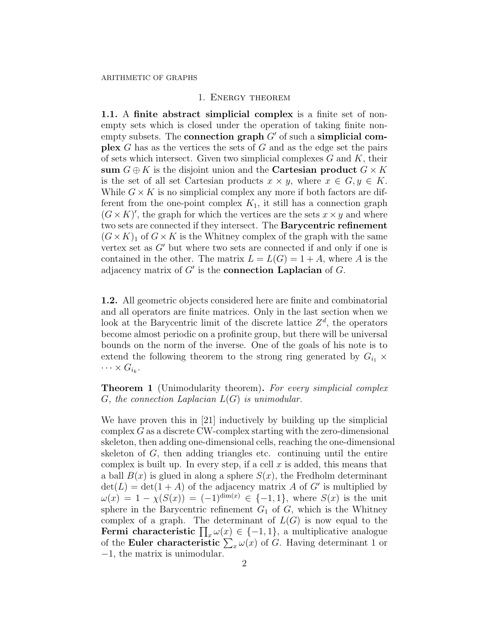## 1. Energy theorem

1.1. A finite abstract simplicial complex is a finite set of nonempty sets which is closed under the operation of taking finite nonempty subsets. The **connection graph**  $G'$  of such a **simplicial complex** G has as the vertices the sets of G and as the edge set the pairs of sets which intersect. Given two simplicial complexes  $G$  and  $K$ , their sum  $G \oplus K$  is the disjoint union and the **Cartesian product**  $G \times K$ is the set of all set Cartesian products  $x \times y$ , where  $x \in G, y \in K$ . While  $G \times K$  is no simplicial complex any more if both factors are different from the one-point complex  $K_1$ , it still has a connection graph  $(G \times K)'$ , the graph for which the vertices are the sets  $x \times y$  and where two sets are connected if they intersect. The Barycentric refinement  $(G \times K)_1$  of  $G \times K$  is the Whitney complex of the graph with the same vertex set as  $G'$  but where two sets are connected if and only if one is contained in the other. The matrix  $L = L(G) = 1 + A$ , where A is the adjacency matrix of  $G'$  is the **connection Laplacian** of  $G$ .

1.2. All geometric objects considered here are finite and combinatorial and all operators are finite matrices. Only in the last section when we look at the Barycentric limit of the discrete lattice  $Z<sup>d</sup>$ , the operators become almost periodic on a profinite group, but there will be universal bounds on the norm of the inverse. One of the goals of his note is to extend the following theorem to the strong ring generated by  $G_{i_1} \times$  $\cdots \times G_{i_k}$ .

**Theorem 1** (Unimodularity theorem). For every simplicial complex  $G$ , the connection Laplacian  $L(G)$  is unimodular.

We have proven this in [21] inductively by building up the simplicial complex G as a discrete CW-complex starting with the zero-dimensional skeleton, then adding one-dimensional cells, reaching the one-dimensional skeleton of  $G$ , then adding triangles etc. continuing until the entire complex is built up. In every step, if a cell  $x$  is added, this means that a ball  $B(x)$  is glued in along a sphere  $S(x)$ , the Fredholm determinant  $\det(L) = \det(1 + A)$  of the adjacency matrix A of G' is multiplied by  $\omega(x) = 1 - \chi(S(x)) = (-1)^{\dim(x)} \in \{-1, 1\}$ , where  $S(x)$  is the unit sphere in the Barycentric refinement  $G_1$  of  $G$ , which is the Whitney complex of a graph. The determinant of  $L(G)$  is now equal to the **Fermi characteristic**  $\prod_{x} \omega(x) \in \{-1, 1\}$ , a multiplicative analogue of the Euler characteristic  $\sum_{x} \omega(x)$  of G. Having determinant 1 or −1, the matrix is unimodular.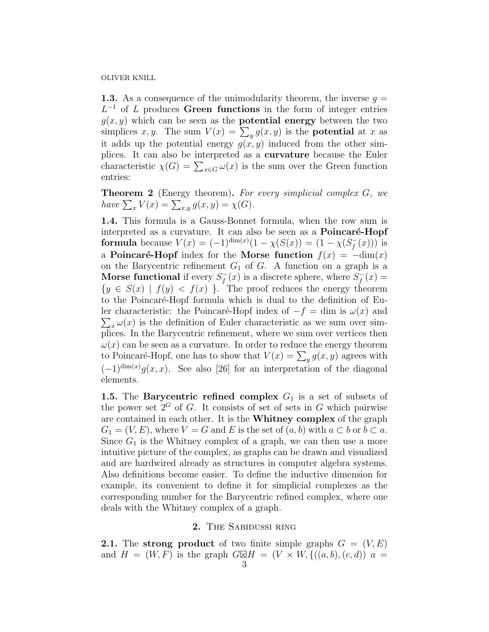**1.3.** As a consequence of the unimodularity theorem, the inverse  $q =$  $L^{-1}$  of L produces Green functions in the form of integer entries  $g(x, y)$  which can be seen as the **potential energy** between the two simplices x, y. The sum  $V(x) = \sum_{y} g(x, y)$  is the **potential** at x as it adds up the potential energy  $g(x, y)$  induced from the other simplices. It can also be interpreted as a curvature because the Euler characteristic  $\chi(G) = \sum_{x \in G} \omega(x)$  is the sum over the Green function entries:

**Theorem 2** (Energy theorem). For every simplicial complex  $G$ , we have  $\sum_x V(x) = \sum_{x,y} g(x,y) = \chi(G)$ .

1.4. This formula is a Gauss-Bonnet formula, when the row sum is interpreted as a curvature. It can also be seen as a **Poincaré-Hopf** formula because  $V(x) = (-1)^{\dim(x)}(1 - \chi(S(x))) = (1 - \chi(S_f^{-}))$  $\bar{f}(x))$ ) is a Poincaré-Hopf index for the Morse function  $f(x) = -\text{dim}(x)$ on the Barycentric refinement  $G_1$  of  $G$ . A function on a graph is a Morse functional if every  $S_f^$  $f_f^-(x)$  is a discrete sphere, where  $S_f^$  $f_0^-(x) =$  ${y \in S(x) \mid f(y) < f(x)}$ . The proof reduces the energy theorem to the Poincaré-Hopf formula which is dual to the definition of Euler characteristic: the Poincaré-Hopf index of  $-f = \dim$  is  $\omega(x)$  and  $\sum_{x} \omega(x)$  is the definition of Euler characteristic as we sum over sim- $\sum_{x} \omega(x)$  is the definition of Euler characteristic as we sum over simplices. In the Barycentric refinement, where we sum over vertices then  $\omega(x)$  can be seen as a curvature. In order to reduce the energy theorem to Poincaré-Hopf, one has to show that  $V(x) = \sum_{y} g(x, y)$  agrees with  $(-1)^{\dim(x)}g(x,x)$ . See also [26] for an interpretation of the diagonal elements.

1.5. The Barycentric refined complex  $G_1$  is a set of subsets of the power set  $2^G$  of G. It consists of set of sets in G which pairwise are contained in each other. It is the Whitney complex of the graph  $G_1 = (V, E)$ , where  $V = G$  and E is the set of  $(a, b)$  with  $a \subset b$  or  $b \subset a$ . Since  $G_1$  is the Whitney complex of a graph, we can then use a more intuitive picture of the complex, as graphs can be drawn and visualized and are hardwired already as structures in computer algebra systems. Also definitions become easier. To define the inductive dimension for example, its convenient to define it for simplicial complexes as the corresponding number for the Barycentric refined complex, where one deals with the Whitney complex of a graph.

## 2. The Sabidussi ring

**2.1.** The strong product of two finite simple graphs  $G = (V, E)$ and  $H = (W, F)$  is the graph  $G\boxtimes H = (V \times W, \{((a, b), (c, d)) \mid a =$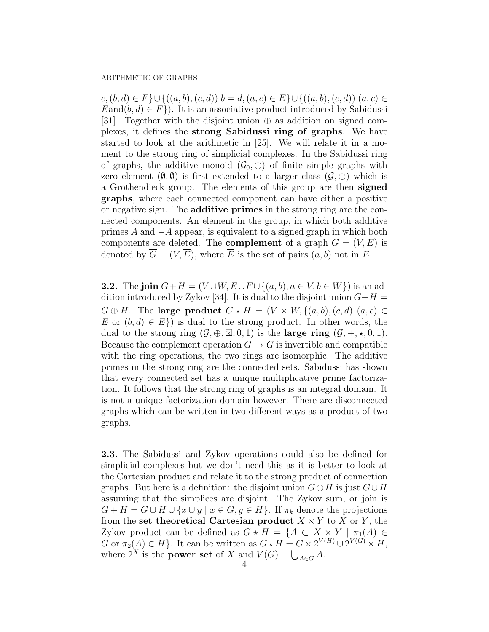$c,(b,d) \in F$ }∪{ $((a,b),(c,d))$   $b=d,(a,c) \in E$ }∪{ $((a,b),(c,d))$   $(a,c) \in$  $E$ and $(b, d) \in F$ ). It is an associative product introduced by Sabidussi [31]. Together with the disjoint union  $\oplus$  as addition on signed complexes, it defines the strong Sabidussi ring of graphs. We have started to look at the arithmetic in [25]. We will relate it in a moment to the strong ring of simplicial complexes. In the Sabidussi ring of graphs, the additive monoid  $(\mathcal{G}_0, \oplus)$  of finite simple graphs with zero element  $(\emptyset, \emptyset)$  is first extended to a larger class  $(\mathcal{G}, \oplus)$  which is a Grothendieck group. The elements of this group are then signed graphs, where each connected component can have either a positive or negative sign. The additive primes in the strong ring are the connected components. An element in the group, in which both additive primes A and  $-A$  appear, is equivalent to a signed graph in which both components are deleted. The **complement** of a graph  $G = (V, E)$  is denoted by  $\overline{G} = (V, \overline{E})$ , where  $\overline{E}$  is the set of pairs  $(a, b)$  not in E.

2.2. The join  $G+H = (V \cup W, E \cup F \cup \{(a, b), a \in V, b \in W\})$  is an addition introduced by Zykov [34]. It is dual to the disjoint union  $G+H =$  $\overline{G} \oplus \overline{H}$ . The large product  $G \star H = (V \times W, \{(a, b), (c, d), (a, c) \in$ E or  $(b, d) \in E$ ) is dual to the strong product. In other words, the dual to the strong ring  $(\mathcal{G}, \oplus, \boxtimes, 0, 1)$  is the **large ring**  $(\mathcal{G}, +, \star, 0, 1)$ . Because the complement operation  $G \to \overline{G}$  is invertible and compatible with the ring operations, the two rings are isomorphic. The additive primes in the strong ring are the connected sets. Sabidussi has shown that every connected set has a unique multiplicative prime factorization. It follows that the strong ring of graphs is an integral domain. It is not a unique factorization domain however. There are disconnected graphs which can be written in two different ways as a product of two graphs.

2.3. The Sabidussi and Zykov operations could also be defined for simplicial complexes but we don't need this as it is better to look at the Cartesian product and relate it to the strong product of connection graphs. But here is a definition: the disjoint union  $G \oplus H$  is just  $G \cup H$ assuming that the simplices are disjoint. The Zykov sum, or join is  $G + H = G \cup H \cup \{x \cup y \mid x \in G, y \in H\}.$  If  $\pi_k$  denote the projections from the set theoretical Cartesian product  $X \times Y$  to X or Y, the Zykov product can be defined as  $G \star H = \{A \subset X \times Y \mid \pi_1(A) \in$ G or  $\pi_2(A) \in H$ . It can be written as  $G \star H = G \times 2^{V(H)} \cup 2^{V(G)} \times H$ , where  $2^X$  is the **power set** of X and  $V(G) = \bigcup_{A \in G} A$ .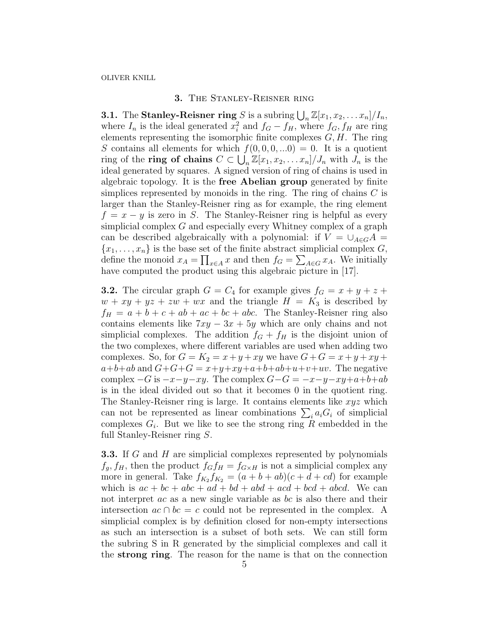# 3. The Stanley-Reisner ring

**3.1.** The **Stanley-Reisner ring** S is a subring  $\bigcup_{n} \mathbb{Z}[x_1, x_2, \ldots, x_n]/I_n$ , where  $I_n$  is the ideal generated  $x_i^2$  and  $f_G - f_H$ , where  $f_G, f_H$  are ring elements representing the isomorphic finite complexes  $G, H$ . The ring S contains all elements for which  $f(0, 0, 0, ...0) = 0$ . It is a quotient ring of the **ring of chains**  $C \subset \bigcup_{n} \mathbb{Z}[x_1, x_2, \ldots, x_n]/J_n$  with  $J_n$  is the ideal generated by squares. A signed version of ring of chains is used in algebraic topology. It is the free Abelian group generated by finite simplices represented by monoids in the ring. The ring of chains  $C$  is larger than the Stanley-Reisner ring as for example, the ring element  $f = x - y$  is zero in S. The Stanley-Reisner ring is helpful as every simplicial complex G and especially every Whitney complex of a graph can be described algebraically with a polynomial: if  $V = \bigcup_{A \in G} A =$  ${x_1, \ldots, x_n}$  is the base set of the finite abstract simplicial complex G, define the monoid  $x_A = \prod_{x \in A} x$  and then  $f_G = \sum_{A \in G} x_A$ . We initially have computed the product using this algebraic picture in [17].

**3.2.** The circular graph  $G = C_4$  for example gives  $f_G = x + y + z + z$  $w + xy + yz + zw + wx$  and the triangle  $H = K_3$  is described by  $f_H = a + b + c + ab + ac + bc + abc$ . The Stanley-Reisner ring also contains elements like  $7xy - 3x + 5y$  which are only chains and not simplicial complexes. The addition  $f_G + f_H$  is the disjoint union of the two complexes, where different variables are used when adding two complexes. So, for  $G = K_2 = x + y + xy$  we have  $G + G = x + y + xy +$  $a+b+ab$  and  $G+G+G = x+y+xy+a+b+ab+u+v+uv$ . The negative complex  $-G$  is  $-x-y-xy$ . The complex  $G-G = -x-y-xy+a+b+ab$ is in the ideal divided out so that it becomes 0 in the quotient ring. The Stanley-Reisner ring is large. It contains elements like  $xyz$  which can not be represented as linear combinations  $\sum_i a_i G_i$  of simplicial complexes  $G_i$ . But we like to see the strong ring R embedded in the full Stanley-Reisner ring S.

**3.3.** If G and H are simplicial complexes represented by polynomials  $f_g, f_H$ , then the product  $f_Gf_H = f_{G \times H}$  is not a simplicial complex any more in general. Take  $f_{K_2} f_{K_2} = (a + b + ab)(c + d + cd)$  for example which is  $ac + bc + abc + ad + bd + abd + acd + bcd + abd$ . We can not interpret *ac* as a new single variable as *bc* is also there and their intersection  $ac \cap bc = c$  could not be represented in the complex. A simplicial complex is by definition closed for non-empty intersections as such an intersection is a subset of both sets. We can still form the subring S in R generated by the simplicial complexes and call it the strong ring. The reason for the name is that on the connection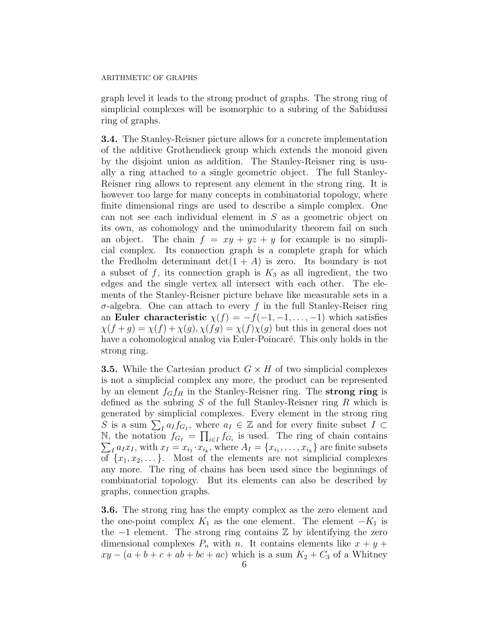graph level it leads to the strong product of graphs. The strong ring of simplicial complexes will be isomorphic to a subring of the Sabidussi ring of graphs.

3.4. The Stanley-Reisner picture allows for a concrete implementation of the additive Grothendieck group which extends the monoid given by the disjoint union as addition. The Stanley-Reisner ring is usually a ring attached to a single geometric object. The full Stanley-Reisner ring allows to represent any element in the strong ring. It is however too large for many concepts in combinatorial topology, where finite dimensional rings are used to describe a simple complex. One can not see each individual element in S as a geometric object on its own, as cohomology and the unimodularity theorem fail on such an object. The chain  $f = xy + yz + y$  for example is no simplicial complex. Its connection graph is a complete graph for which the Fredholm determinant  $\det(1 + A)$  is zero. Its boundary is not a subset of  $f$ , its connection graph is  $K_3$  as all ingredient, the two edges and the single vertex all intersect with each other. The elements of the Stanley-Reisner picture behave like measurable sets in a σ-algebra. One can attach to every f in the full Stanley-Reiser ring an Euler characteristic  $\chi(f) = -f(-1, -1, \ldots, -1)$  which satisfies  $\chi(f+g) = \chi(f) + \chi(g), \chi(fg) = \chi(f)\chi(g)$  but this in general does not have a cohomological analog via Euler-Poincaré. This only holds in the strong ring.

**3.5.** While the Cartesian product  $G \times H$  of two simplicial complexes is not a simplicial complex any more, the product can be represented by an element  $f_Gf_H$  in the Stanley-Reisner ring. The strong ring is defined as the subring  $S$  of the full Stanley-Reisner ring  $R$  which is generated by simplicial complexes. Every element in the strong ring S is a sum  $\sum_{I} a_{I} f_{G_{I}}$ , where  $a_{I} \in \mathbb{Z}$  and for every finite subset  $I \subset$ N, the notation  $f_{G_I} = \prod_{i \in I} f_{G_i}$  is used. The ring of chain contains N, the notation  $f_{G_I} = \prod_{i \in I} f_{G_i}$  is used. The ring of chain contains  $\sum_I a_I x_I$ , with  $x_I = x_{i_1} \cdot x_{i_k}$ , where  $A_I = \{x_{i_1}, \ldots, x_{i_k}\}$  are finite subsets of  $\{x_1, x_2, \ldots\}$ . Most of the elements are not simplicial complexes any more. The ring of chains has been used since the beginnings of combinatorial topology. But its elements can also be described by graphs, connection graphs.

3.6. The strong ring has the empty complex as the zero element and the one-point complex  $K_1$  as the one element. The element  $-K_1$  is the −1 element. The strong ring contains Z by identifying the zero dimensional complexes  $P_n$  with n. It contains elements like  $x + y +$  $xy - (a + b + c + ab + bc + ac)$  which is a sum  $K_2 + C_3$  of a Whitney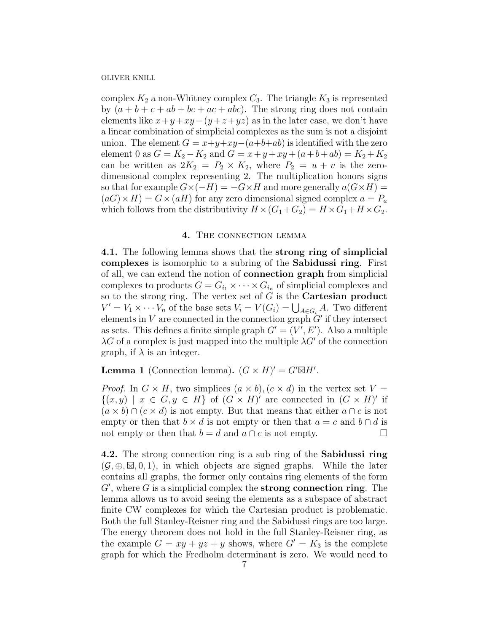complex  $K_2$  a non-Whitney complex  $C_3$ . The triangle  $K_3$  is represented by  $(a + b + c + ab + bc + ac + abc)$ . The strong ring does not contain elements like  $x+y+xy-(y+z+yz)$  as in the later case, we don't have a linear combination of simplicial complexes as the sum is not a disjoint union. The element  $G = x+y+xy-(a+b+ab)$  is identified with the zero element 0 as  $G = K_2 - K_2$  and  $G = x + y + xy + (a+b+ab) = K_2 + K_2$ can be written as  $2K_2 = P_2 \times K_2$ , where  $P_2 = u + v$  is the zerodimensional complex representing 2. The multiplication honors signs so that for example  $G\times (-H) = -G\times H$  and more generally  $a(G\times H) =$  $(aG) \times H$ ) =  $G \times (aH)$  for any zero dimensional signed complex  $a = P_a$ which follows from the distributivity  $H \times (G_1 + G_2) = H \times G_1 + H \times G_2$ .

## 4. THE CONNECTION LEMMA

4.1. The following lemma shows that the strong ring of simplicial complexes is isomorphic to a subring of the Sabidussi ring. First of all, we can extend the notion of connection graph from simplicial complexes to products  $G = G_{i_1} \times \cdots \times G_{i_n}$  of simplicial complexes and so to the strong ring. The vertex set of  $G$  is the **Cartesian product**  $V' = V_1 \times \cdots V_n$  of the base sets  $V_i = V(G_i) = \bigcup_{A \in G_i} A$ . Two different elements in  $V$  are connected in the connection graph  $\ddot{G}$  if they intersect as sets. This defines a finite simple graph  $G' = (V', E')$ . Also a multiple  $\lambda G$  of a complex is just mapped into the multiple  $\lambda G'$  of the connection graph, if  $\lambda$  is an integer.

**Lemma 1** (Connection lemma).  $(G \times H)' = G' \boxtimes H'$ .

*Proof.* In  $G \times H$ , two simplices  $(a \times b)$ ,  $(c \times d)$  in the vertex set  $V =$  $\{(x,y) \mid x \in G, y \in H\}$  of  $(G \times H)'$  are connected in  $(G \times H)'$  if  $(a \times b) \cap (c \times d)$  is not empty. But that means that either  $a \cap c$  is not empty or then that  $b \times d$  is not empty or then that  $a = c$  and  $b \cap d$  is not empty or then that  $b = d$  and  $a \cap c$  is not empty.

4.2. The strong connection ring is a sub ring of the Sabidussi ring  $(\mathcal{G}, \oplus, \boxtimes, 0, 1)$ , in which objects are signed graphs. While the later contains all graphs, the former only contains ring elements of the form  $G'$ , where  $G$  is a simplicial complex the strong connection ring. The lemma allows us to avoid seeing the elements as a subspace of abstract finite CW complexes for which the Cartesian product is problematic. Both the full Stanley-Reisner ring and the Sabidussi rings are too large. The energy theorem does not hold in the full Stanley-Reisner ring, as the example  $G = xy + yz + y$  shows, where  $G' = K_3$  is the complete graph for which the Fredholm determinant is zero. We would need to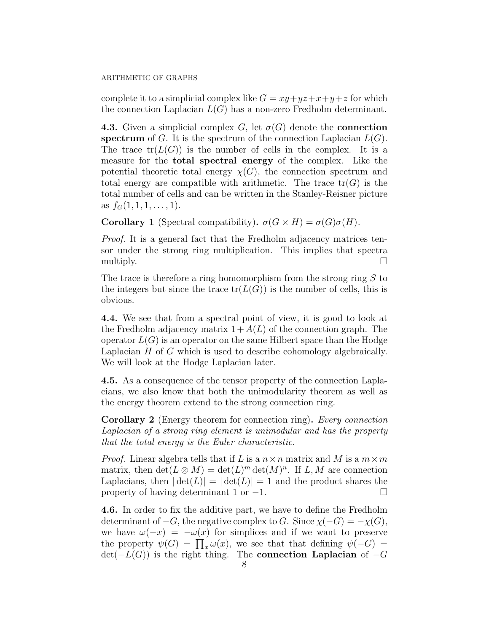complete it to a simplicial complex like  $G = xy + yz + x + y + z$  for which the connection Laplacian  $L(G)$  has a non-zero Fredholm determinant.

**4.3.** Given a simplicial complex G, let  $\sigma(G)$  denote the **connection** spectrum of G. It is the spectrum of the connection Laplacian  $L(G)$ . The trace  $tr(L(G))$  is the number of cells in the complex. It is a measure for the total spectral energy of the complex. Like the potential theoretic total energy  $\chi(G)$ , the connection spectrum and total energy are compatible with arithmetic. The trace  $tr(G)$  is the total number of cells and can be written in the Stanley-Reisner picture as  $f_G(1, 1, 1, \ldots, 1)$ .

**Corollary 1** (Spectral compatibility).  $\sigma(G \times H) = \sigma(G)\sigma(H)$ .

Proof. It is a general fact that the Fredholm adjacency matrices tensor under the strong ring multiplication. This implies that spectra multiply.  $\Box$ 

The trace is therefore a ring homomorphism from the strong ring S to the integers but since the trace  $tr(L(G))$  is the number of cells, this is obvious.

4.4. We see that from a spectral point of view, it is good to look at the Fredholm adjacency matrix  $1 + A(L)$  of the connection graph. The operator  $L(G)$  is an operator on the same Hilbert space than the Hodge Laplacian  $H$  of  $G$  which is used to describe cohomology algebraically. We will look at the Hodge Laplacian later.

4.5. As a consequence of the tensor property of the connection Laplacians, we also know that both the unimodularity theorem as well as the energy theorem extend to the strong connection ring.

Corollary 2 (Energy theorem for connection ring). Every connection Laplacian of a strong ring element is unimodular and has the property that the total energy is the Euler characteristic.

*Proof.* Linear algebra tells that if L is a  $n \times n$  matrix and M is a  $m \times m$ matrix, then  $\det(L \otimes M) = \det(L)^m \det(M)^n$ . If  $L, M$  are connection Laplacians, then  $|\det(L)| = |\det(L)| = 1$  and the product shares the property of having determinant 1 or  $-1$ .

4.6. In order to fix the additive part, we have to define the Fredholm determinant of  $-G$ , the negative complex to G. Since  $\chi(-G) = -\chi(G)$ , we have  $\omega(-x) = -\omega(x)$  for simplices and if we want to preserve the property  $\psi(G) = \prod_x \omega(x)$ , we see that that defining  $\psi(-G) =$  $det(-L(G))$  is the right thing. The **connection Laplacian** of  $-G$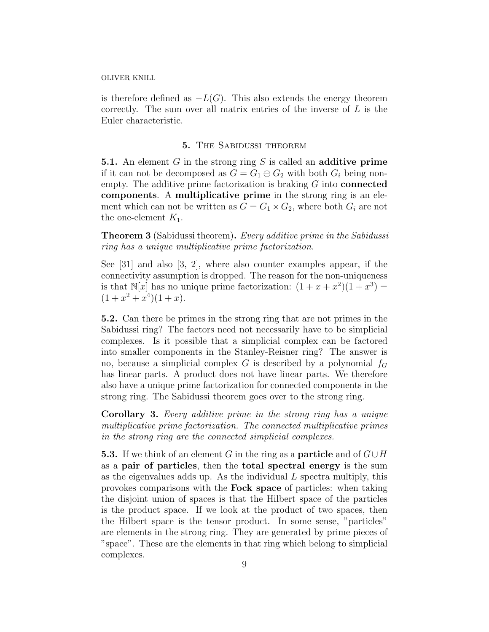is therefore defined as  $-L(G)$ . This also extends the energy theorem correctly. The sum over all matrix entries of the inverse of  $L$  is the Euler characteristic.

## 5. The Sabidussi theorem

**5.1.** An element G in the strong ring S is called an **additive prime** if it can not be decomposed as  $G = G_1 \oplus G_2$  with both  $G_i$  being nonempty. The additive prime factorization is braking  $G$  into **connected** components. A multiplicative prime in the strong ring is an element which can not be written as  $G = G_1 \times G_2$ , where both  $G_i$  are not the one-element  $K_1$ .

**Theorem 3** (Sabidussi theorem). Every additive prime in the Sabidussi ring has a unique multiplicative prime factorization.

See [31] and also [3, 2], where also counter examples appear, if the connectivity assumption is dropped. The reason for the non-uniqueness is that  $\mathbb{N}[x]$  has no unique prime factorization:  $(1 + x + x^2)(1 + x^3) =$  $(1+x^2+x^4)(1+x)$ .

5.2. Can there be primes in the strong ring that are not primes in the Sabidussi ring? The factors need not necessarily have to be simplicial complexes. Is it possible that a simplicial complex can be factored into smaller components in the Stanley-Reisner ring? The answer is no, because a simplicial complex G is described by a polynomial  $f<sub>G</sub>$ has linear parts. A product does not have linear parts. We therefore also have a unique prime factorization for connected components in the strong ring. The Sabidussi theorem goes over to the strong ring.

Corollary 3. Every additive prime in the strong ring has a unique multiplicative prime factorization. The connected multiplicative primes in the strong ring are the connected simplicial complexes.

**5.3.** If we think of an element G in the ring as a **particle** and of  $G \cup H$ as a pair of particles, then the total spectral energy is the sum as the eigenvalues adds up. As the individual  $L$  spectra multiply, this provokes comparisons with the Fock space of particles: when taking the disjoint union of spaces is that the Hilbert space of the particles is the product space. If we look at the product of two spaces, then the Hilbert space is the tensor product. In some sense, "particles" are elements in the strong ring. They are generated by prime pieces of "space". These are the elements in that ring which belong to simplicial complexes.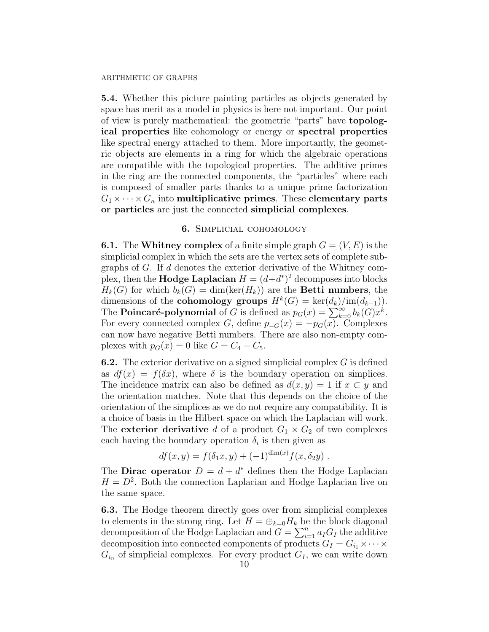5.4. Whether this picture painting particles as objects generated by space has merit as a model in physics is here not important. Our point of view is purely mathematical: the geometric "parts" have topological properties like cohomology or energy or spectral properties like spectral energy attached to them. More importantly, the geometric objects are elements in a ring for which the algebraic operations are compatible with the topological properties. The additive primes in the ring are the connected components, the "particles" where each is composed of smaller parts thanks to a unique prime factorization  $G_1 \times \cdots \times G_n$  into multiplicative primes. These elementary parts or particles are just the connected simplicial complexes.

## 6. Simplicial cohomology

**6.1.** The Whitney complex of a finite simple graph  $G = (V, E)$  is the simplicial complex in which the sets are the vertex sets of complete subgraphs of G. If d denotes the exterior derivative of the Whitney complex, then the **Hodge Laplacian**  $H = (d+d^*)^2$  decomposes into blocks  $H_k(G)$  for which  $b_k(G) = \dim(\ker(H_k))$  are the **Betti numbers**, the dimensions of the **cohomology groups**  $H^k(G) = \text{ker}(d_k)/\text{im}(d_{k-1}).$ The **Poincaré-polynomial** of G is defined as  $p_G(x) = \sum_{k=0}^{\infty} b_k(G)x^k$ . For every connected complex G, define  $p_{-G}(x) = -p_G(x)$ . Complexes can now have negative Betti numbers. There are also non-empty complexes with  $p_G(x) = 0$  like  $G = C_4 - C_5$ .

**6.2.** The exterior derivative on a signed simplicial complex  $G$  is defined as  $df(x) = f(\delta x)$ , where  $\delta$  is the boundary operation on simplices. The incidence matrix can also be defined as  $d(x, y) = 1$  if  $x \subset y$  and the orientation matches. Note that this depends on the choice of the orientation of the simplices as we do not require any compatibility. It is a choice of basis in the Hilbert space on which the Laplacian will work. The **exterior derivative** d of a product  $G_1 \times G_2$  of two complexes each having the boundary operation  $\delta_i$  is then given as

$$
df(x, y) = f(\delta_1 x, y) + (-1)^{\dim(x)} f(x, \delta_2 y) .
$$

The **Dirac operator**  $D = d + d^*$  defines then the Hodge Laplacian  $H = D<sup>2</sup>$ . Both the connection Laplacian and Hodge Laplacian live on the same space.

6.3. The Hodge theorem directly goes over from simplicial complexes to elements in the strong ring. Let  $H = \bigoplus_{k=0} H_k$  be the block diagonal decomposition of the Hodge Laplacian and  $G = \sum_{i=1}^{n} a_i G_i$  the additive decomposition into connected components of products  $G_I = G_{i_1} \times \cdots \times$  $G_{i_n}$  of simplicial complexes. For every product  $G_I$ , we can write down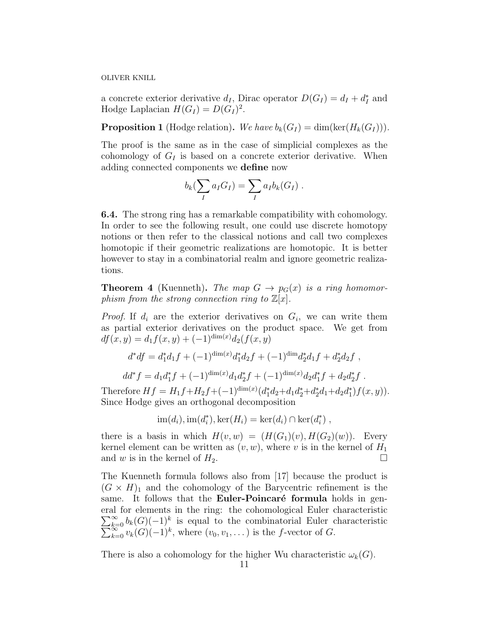a concrete exterior derivative  $d_I$ , Dirac operator  $D(G_I) = d_I + d_I^*$  and Hodge Laplacian  $H(G_I) = D(G_I)^2$ .

**Proposition 1** (Hodge relation). We have  $b_k(G_I) = \dim(\ker(H_k(G_I)))$ .

The proof is the same as in the case of simplicial complexes as the cohomology of  $G_I$  is based on a concrete exterior derivative. When adding connected components we define now

$$
b_k(\sum_I a_I G_I) = \sum_I a_I b_k(G_I) .
$$

6.4. The strong ring has a remarkable compatibility with cohomology. In order to see the following result, one could use discrete homotopy notions or then refer to the classical notions and call two complexes homotopic if their geometric realizations are homotopic. It is better however to stay in a combinatorial realm and ignore geometric realizations.

**Theorem 4** (Kuenneth). The map  $G \rightarrow p_G(x)$  is a ring homomorphism from the strong connection ring to  $\mathbb{Z}[x]$ .

*Proof.* If  $d_i$  are the exterior derivatives on  $G_i$ , we can write them as partial exterior derivatives on the product space. We get from  $df(x, y) = d_1f(x, y) + (-1)^{\dim(x)}d_2(f(x, y))$ 

$$
d^*df = d_1^*d_1f + (-1)^{\dim(x)}d_1^*d_2f + (-1)^{\dim d_2^*d_1f} + d_2^*d_2f,
$$

$$
dd^* f = d_1 d_1^* f + (-1)^{\dim(x)} d_1 d_2^* f + (-1)^{\dim(x)} d_2 d_1^* f + d_2 d_2^* f.
$$

Therefore  $Hf = H_1f + H_2f + (-1)^{\dim(x)}(d_1^*d_2 + d_1d_2^* + d_2^*d_1 + d_2d_1^*)f(x, y)).$ Since Hodge gives an orthogonal decomposition

$$
\operatorname{im}(d_i), \operatorname{im}(d_i^*), \operatorname{ker}(H_i) = \operatorname{ker}(d_i) \cap \operatorname{ker}(d_i^*),
$$

there is a basis in which  $H(v, w) = (H(G_1)(v), H(G_2)(w))$ . Every kernel element can be written as  $(v, w)$ , where v is in the kernel of  $H_1$ and w is in the kernel of  $H_2$ .

The Kuenneth formula follows also from [17] because the product is  $(G \times H)_1$  and the cohomology of the Barycentric refinement is the same. It follows that the **Euler-Poincaré formula** holds in general for elements in the ring: the cohomological Euler characteristic  $\sum_{k=0}^{\infty} b_k(G) (-1)^k$  $\sum$  $\sum_{k=0}^{\infty} b_k(G)(-1)^k$  is equal to the combinatorial Euler characteristic  $\sum_{k=0}^{\infty} v_k(G)(-1)^k$ , where  $(v_0, v_1, \dots)$  is the *f*-vector of *G*.

There is also a cohomology for the higher Wu characteristic  $\omega_k(G)$ .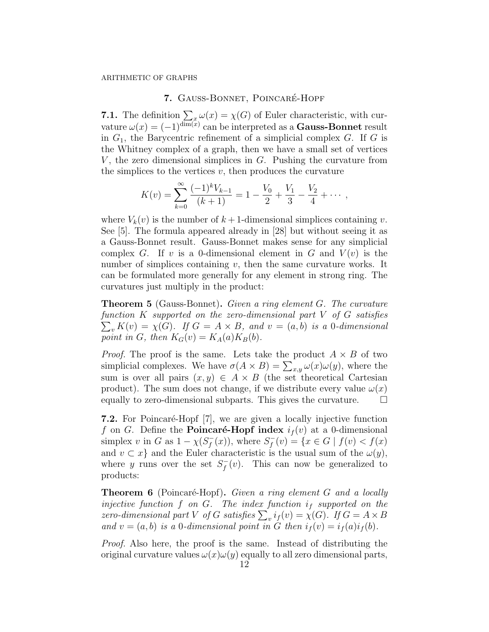# 7. GAUSS-BONNET, POINCARÉ-HOPF

**7.1.** The definition  $\sum_{x} \omega(x) = \chi(G)$  of Euler characteristic, with curvature  $\omega(x) = (-1)^{\dim(x)}$  can be interpreted as a **Gauss-Bonnet** result in  $G_1$ , the Barycentric refinement of a simplicial complex  $G$ . If  $G$  is the Whitney complex of a graph, then we have a small set of vertices V, the zero dimensional simplices in  $G$ . Pushing the curvature from the simplices to the vertices  $v$ , then produces the curvature

$$
K(v) = \sum_{k=0}^{\infty} \frac{(-1)^k V_{k-1}}{(k+1)} = 1 - \frac{V_0}{2} + \frac{V_1}{3} - \frac{V_2}{4} + \cdots,
$$

where  $V_k(v)$  is the number of  $k+1$ -dimensional simplices containing v. See [5]. The formula appeared already in [28] but without seeing it as a Gauss-Bonnet result. Gauss-Bonnet makes sense for any simplicial complex G. If v is a 0-dimensional element in G and  $V(v)$  is the number of simplices containing  $v$ , then the same curvature works. It can be formulated more generally for any element in strong ring. The curvatures just multiply in the product:

Theorem 5 (Gauss-Bonnet). Given a ring element G. The curvature function K supported on the zero-dimensional part V of G satisfies  $\sum_{v} K(v) = \chi(G)$ . If  $G = A \times B$ , and  $v = (a, b)$  is a 0-dimensional point in G, then  $K_G(v) = K_A(a)K_B(b)$ .

*Proof.* The proof is the same. Lets take the product  $A \times B$  of two simplicial complexes. We have  $\sigma(A \times B) = \sum_{x,y} \omega(x) \omega(y)$ , where the sum is over all pairs  $(x, y) \in A \times B$  (the set theoretical Cartesian product). The sum does not change, if we distribute every value  $\omega(x)$ equally to zero-dimensional subparts. This gives the curvature.  $\Box$ 

7.2. For Poincaré-Hopf [7], we are given a locally injective function f on G. Define the **Poincaré-Hopf index**  $i_f(v)$  at a 0-dimensional simplex v in G as  $1 - \chi(S_f^-)$  $f^{-}(x)$ , where  $S_f^{-}$  $f_f^-(v) = \{x \in G \mid f(v) < f(x)\}$ and  $v \subset x$  and the Euler characteristic is the usual sum of the  $\omega(y)$ , where y runs over the set  $S_f^$  $f_f^-(v)$ . This can now be generalized to products:

**Theorem 6** (Poincaré-Hopf). Given a ring element G and a locally injective function f on G. The index function  $i_f$  supported on the zero-dimensional part V of G satisfies  $\sum_{v} i_f(v) = \chi(G)$ . If  $G = A \times B$ and  $v = (a, b)$  is a 0-dimensional point in G then  $i_f(v) = i_f(a)i_f(b)$ .

Proof. Also here, the proof is the same. Instead of distributing the original curvature values  $\omega(x)\omega(y)$  equally to all zero dimensional parts,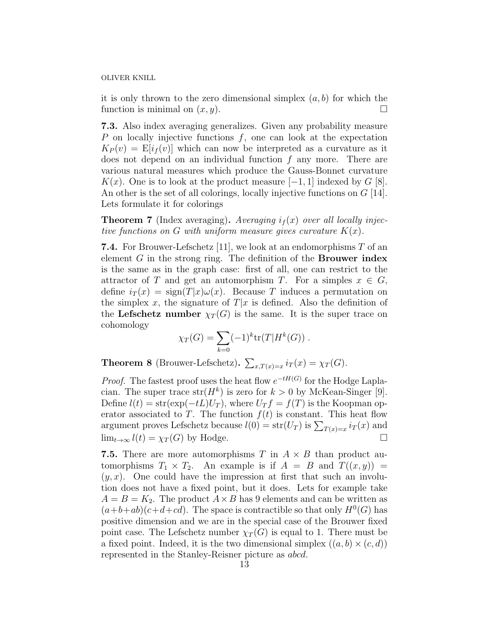it is only thrown to the zero dimensional simplex  $(a, b)$  for which the function is minimal on  $(x, y)$ .

7.3. Also index averaging generalizes. Given any probability measure P on locally injective functions  $f$ , one can look at the expectation  $K_P(v) = \mathbb{E}[i_f(v)]$  which can now be interpreted as a curvature as it does not depend on an individual function  $f$  any more. There are various natural measures which produce the Gauss-Bonnet curvature K(x). One is to look at the product measure  $[-1, 1]$  indexed by G [8]. An other is the set of all colorings, locally injective functions on G [14]. Lets formulate it for colorings

**Theorem 7** (Index averaging). Averaging  $i_f(x)$  over all locally injective functions on G with uniform measure gives curvature  $K(x)$ .

**7.4.** For Brouwer-Lefschetz [11], we look at an endomorphisms  $T$  of an element  $G$  in the strong ring. The definition of the **Brouwer index** is the same as in the graph case: first of all, one can restrict to the attractor of T and get an automorphism T. For a simples  $x \in G$ , define  $i_T(x) = \text{sign}(T|x)\omega(x)$ . Because T induces a permutation on the simplex x, the signature of  $T|x$  is defined. Also the definition of the Lefschetz number  $\chi_T(G)$  is the same. It is the super trace on cohomology

$$
\chi_T(G) = \sum_{k=0} (-1)^k \text{tr}(T) H^k(G) ).
$$

**Theorem 8** (Brouwer-Lefschetz).  $\sum_{x,T(x)=x} i_T(x) = \chi_T(G)$ .

*Proof.* The fastest proof uses the heat flow  $e^{-tH(G)}$  for the Hodge Laplacian. The super trace  $str(H^k)$  is zero for  $k > 0$  by McKean-Singer [9]. Define  $l(t) = \text{str}(\exp(-tL)U_T)$ , where  $U_T f = f(T)$  is the Koopman operator associated to T. The function  $f(t)$  is constant. This heat flow argument proves Lefschetz because  $l(0) = str(U_T)$  is  $\sum_{T(x)=x} i_T(x)$  and  $\lim_{t\to\infty} l(t) = \chi_T(G)$  by Hodge.

**7.5.** There are more automorphisms T in  $A \times B$  than product automorphisms  $T_1 \times T_2$ . An example is if  $A = B$  and  $T((x, y)) =$  $(y, x)$ . One could have the impression at first that such an involution does not have a fixed point, but it does. Lets for example take  $A = B = K_2$ . The product  $A \times B$  has 9 elements and can be written as  $(a+b+ab)(c+d+cd)$ . The space is contractible so that only  $H^0(G)$  has positive dimension and we are in the special case of the Brouwer fixed point case. The Lefschetz number  $\chi_T(G)$  is equal to 1. There must be a fixed point. Indeed, it is the two dimensional simplex  $((a, b) \times (c, d))$ represented in the Stanley-Reisner picture as abcd.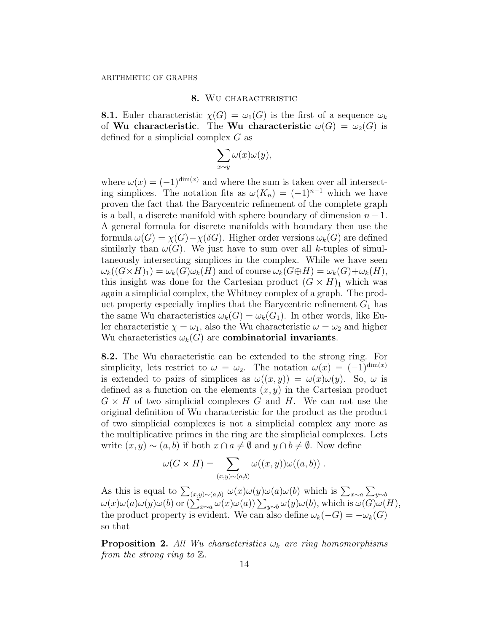## 8. WU CHARACTERISTIC

**8.1.** Euler characteristic  $\chi(G) = \omega_1(G)$  is the first of a sequence  $\omega_k$ of Wu characteristic. The Wu characteristic  $\omega(G) = \omega_2(G)$  is defined for a simplicial complex G as

$$
\sum_{x \sim y} \omega(x)\omega(y),
$$

where  $\omega(x) = (-1)^{\dim(x)}$  and where the sum is taken over all intersecting simplices. The notation fits as  $\omega(K_n) = (-1)^{n-1}$  which we have proven the fact that the Barycentric refinement of the complete graph is a ball, a discrete manifold with sphere boundary of dimension  $n-1$ . A general formula for discrete manifolds with boundary then use the formula  $\omega(G) = \chi(G) - \chi(\delta G)$ . Higher order versions  $\omega_k(G)$  are defined similarly than  $\omega(G)$ . We just have to sum over all k-tuples of simultaneously intersecting simplices in the complex. While we have seen  $\omega_k((G \times H)_1) = \omega_k(G)\omega_k(H)$  and of course  $\omega_k(G \oplus H) = \omega_k(G) + \omega_k(H)$ , this insight was done for the Cartesian product  $(G \times H)_1$  which was again a simplicial complex, the Whitney complex of a graph. The product property especially implies that the Barycentric refinement  $G_1$  has the same Wu characteristics  $\omega_k(G) = \omega_k(G_1)$ . In other words, like Euler characteristic  $\chi = \omega_1$ , also the Wu characteristic  $\omega = \omega_2$  and higher Wu characteristics  $\omega_k(G)$  are **combinatorial invariants**.

8.2. The Wu characteristic can be extended to the strong ring. For simplicity, lets restrict to  $\omega = \omega_2$ . The notation  $\omega(x) = (-1)^{\dim(x)}$ is extended to pairs of simplices as  $\omega((x, y)) = \omega(x)\omega(y)$ . So,  $\omega$  is defined as a function on the elements  $(x, y)$  in the Cartesian product  $G \times H$  of two simplicial complexes G and H. We can not use the original definition of Wu characteristic for the product as the product of two simplicial complexes is not a simplicial complex any more as the multiplicative primes in the ring are the simplicial complexes. Lets write  $(x, y) \sim (a, b)$  if both  $x \cap a \neq \emptyset$  and  $y \cap b \neq \emptyset$ . Now define

$$
\omega(G \times H) = \sum_{(x,y)\sim(a,b)} \omega((x,y))\omega((a,b)) \ .
$$

As this is equal to  $\sum_{(x,y)\sim(a,b)} \omega(x)\omega(y)\omega(a)\omega(b)$  which is  $\sum_{x\sim a}\sum_{y\sim b}$  $\omega(x)\omega(a)\omega(y)\omega(b)$  or  $(\sum_{x\sim a}\omega(x)\omega(a))\sum_{y\sim b}\omega(y)\omega(b)$ , which is  $\omega(G)\omega(H)$ , the product property is evident. We can also define  $\omega_k(-G) = -\omega_k(G)$ so that

**Proposition 2.** All Wu characteristics  $\omega_k$  are ring homomorphisms from the strong ring to  $\mathbb{Z}$ .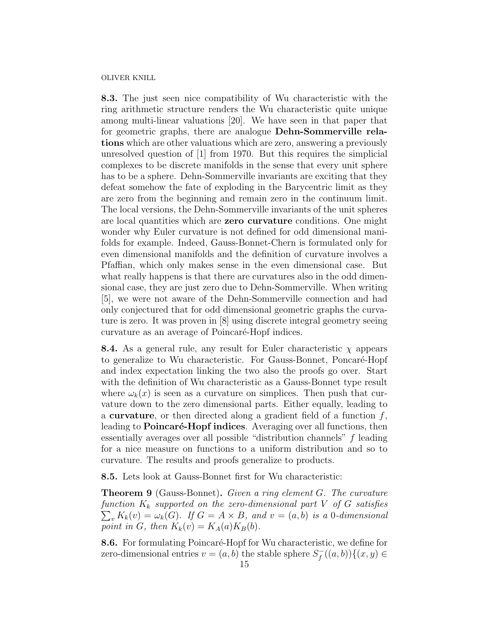8.3. The just seen nice compatibility of Wu characteristic with the ring arithmetic structure renders the Wu characteristic quite unique among multi-linear valuations [20]. We have seen in that paper that for geometric graphs, there are analogue Dehn-Sommerville relations which are other valuations which are zero, answering a previously unresolved question of [1] from 1970. But this requires the simplicial complexes to be discrete manifolds in the sense that every unit sphere has to be a sphere. Dehn-Sommerville invariants are exciting that they defeat somehow the fate of exploding in the Barycentric limit as they are zero from the beginning and remain zero in the continuum limit. The local versions, the Dehn-Sommerville invariants of the unit spheres are local quantities which are zero curvature conditions. One might wonder why Euler curvature is not defined for odd dimensional manifolds for example. Indeed, Gauss-Bonnet-Chern is formulated only for even dimensional manifolds and the definition of curvature involves a Pfaffian, which only makes sense in the even dimensional case. But what really happens is that there are curvatures also in the odd dimensional case, they are just zero due to Dehn-Sommerville. When writing [5], we were not aware of the Dehn-Sommerville connection and had only conjectured that for odd dimensional geometric graphs the curvature is zero. It was proven in [8] using discrete integral geometry seeing curvature as an average of Poincaré-Hopf indices.

**8.4.** As a general rule, any result for Euler characteristic  $\chi$  appears to generalize to Wu characteristic. For Gauss-Bonnet, Poncaré-Hopf and index expectation linking the two also the proofs go over. Start with the definition of Wu characteristic as a Gauss-Bonnet type result where  $\omega_k(x)$  is seen as a curvature on simplices. Then push that curvature down to the zero dimensional parts. Either equally, leading to a **curvature**, or then directed along a gradient field of a function  $f$ , leading to **Poincaré-Hopf indices**. Averaging over all functions, then essentially averages over all possible "distribution channels" f leading for a nice measure on functions to a uniform distribution and so to curvature. The results and proofs generalize to products.

8.5. Lets look at Gauss-Bonnet first for Wu characteristic:

Theorem 9 (Gauss-Bonnet). Given a ring element G. The curvature function  $K_k$  supported on the zero-dimensional part V of G satisfies  $\sum_{v} K_{k}(v) = \omega_{k}(G)$ . If  $G = A \times B$ , and  $v = (a, b)$  is a 0-dimensional point in G, then  $K_k(v) = K_A(a)K_B(b)$ .

8.6. For formulating Poincaré-Hopf for Wu characteristic, we define for zero-dimensional entries  $v = (a, b)$  the stable sphere  $S_f^$  $f_1^-(a,b))$ { $(x,y) \in$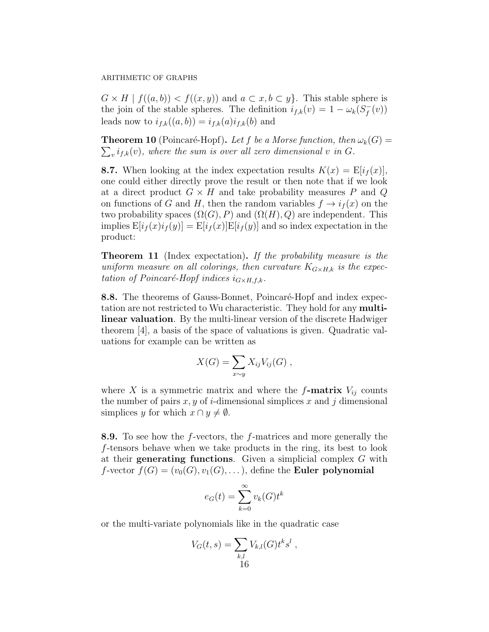$G \times H \mid f((a, b)) < f((x, y))$  and  $a \subset x, b \subset y$ . This stable sphere is the join of the stable spheres. The definition  $i_{f,k}(v) = 1 - \omega_k(S_f)$  $\bar{f}(v)$ leads now to  $i_{f,k}((a, b)) = i_{f,k}(a)i_{f,k}(b)$  and

**Theorem 10** (Poincaré-Hopf). Let f be a Morse function, then  $\omega_k(G)$  =  $\sum_{v} i_{f,k}(v)$ , where the sum is over all zero dimensional v in G.

**8.7.** When looking at the index expectation results  $K(x) = \mathbb{E}[i_f(x)],$ one could either directly prove the result or then note that if we look at a direct product  $G \times H$  and take probability measures P and Q on functions of G and H, then the random variables  $f \rightarrow i_f(x)$  on the two probability spaces  $(\Omega(G), P)$  and  $(\Omega(H), Q)$  are independent. This implies  $E[i_f(x)i_f(y)] = E[i_f(x)]E[i_f(y)]$  and so index expectation in the product:

**Theorem 11** (Index expectation). If the probability measure is the uniform measure on all colorings, then curvature  $K_{G\times H,k}$  is the expectation of Poincaré-Hopf indices  $i_{G\times H,f,k}$ .

8.8. The theorems of Gauss-Bonnet, Poincaré-Hopf and index expectation are not restricted to Wu characteristic. They hold for any multilinear valuation. By the multi-linear version of the discrete Hadwiger theorem [4], a basis of the space of valuations is given. Quadratic valuations for example can be written as

$$
X(G) = \sum_{x \sim y} X_{ij} V_{ij}(G) ,
$$

where X is a symmetric matrix and where the  $f$ -matrix  $V_{ij}$  counts the number of pairs  $x, y$  of i-dimensional simplices x and j dimensional simplices y for which  $x \cap y \neq \emptyset$ .

8.9. To see how the f-vectors, the f-matrices and more generally the f-tensors behave when we take products in the ring, its best to look at their generating functions. Given a simplicial complex G with  $f$ -vector  $f(G) = (v_0(G), v_1(G), \dots)$ , define the **Euler polynomial** 

$$
e_G(t) = \sum_{k=0}^{\infty} v_k(G)t^k
$$

or the multi-variate polynomials like in the quadratic case

$$
V_G(t,s) = \sum_{\substack{k,l\\16}} V_{k,l}(G) t^k s^l,
$$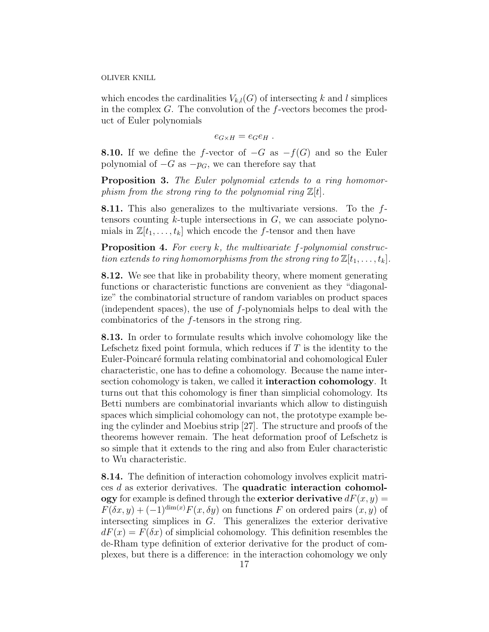which encodes the cardinalities  $V_{k,l}(G)$  of intersecting k and l simplices in the complex  $G$ . The convolution of the f-vectors becomes the product of Euler polynomials

$$
e_{G\times H}=e_Ge_H.
$$

**8.10.** If we define the f-vector of  $-G$  as  $-f(G)$  and so the Euler polynomial of  $-G$  as  $-p_G$ , we can therefore say that

**Proposition 3.** The Euler polynomial extends to a ring homomorphism from the strong ring to the polynomial ring  $\mathbb{Z}[t]$ .

8.11. This also generalizes to the multivariate versions. To the ftensors counting  $k$ -tuple intersections in  $G$ , we can associate polynomials in  $\mathbb{Z}[t_1,\ldots,t_k]$  which encode the f-tensor and then have

**Proposition 4.** For every  $k$ , the multivariate  $f$ -polynomial construction extends to ring homomorphisms from the strong ring to  $\mathbb{Z}[t_1, \ldots, t_k].$ 

8.12. We see that like in probability theory, where moment generating functions or characteristic functions are convenient as they "diagonalize" the combinatorial structure of random variables on product spaces (independent spaces), the use of f-polynomials helps to deal with the combinatorics of the f-tensors in the strong ring.

8.13. In order to formulate results which involve cohomology like the Lefschetz fixed point formula, which reduces if  $T$  is the identity to the Euler-Poincaré formula relating combinatorial and cohomological Euler characteristic, one has to define a cohomology. Because the name intersection cohomology is taken, we called it interaction cohomology. It turns out that this cohomology is finer than simplicial cohomology. Its Betti numbers are combinatorial invariants which allow to distinguish spaces which simplicial cohomology can not, the prototype example being the cylinder and Moebius strip [27]. The structure and proofs of the theorems however remain. The heat deformation proof of Lefschetz is so simple that it extends to the ring and also from Euler characteristic to Wu characteristic.

8.14. The definition of interaction cohomology involves explicit matrices d as exterior derivatives. The quadratic interaction cohomology for example is defined through the exterior derivative  $dF(x, y) =$  $F(\delta x, y) + (-1)^{\dim(x)} F(x, \delta y)$  on functions F on ordered pairs  $(x, y)$  of intersecting simplices in G. This generalizes the exterior derivative  $dF(x) = F(\delta x)$  of simplicial cohomology. This definition resembles the de-Rham type definition of exterior derivative for the product of complexes, but there is a difference: in the interaction cohomology we only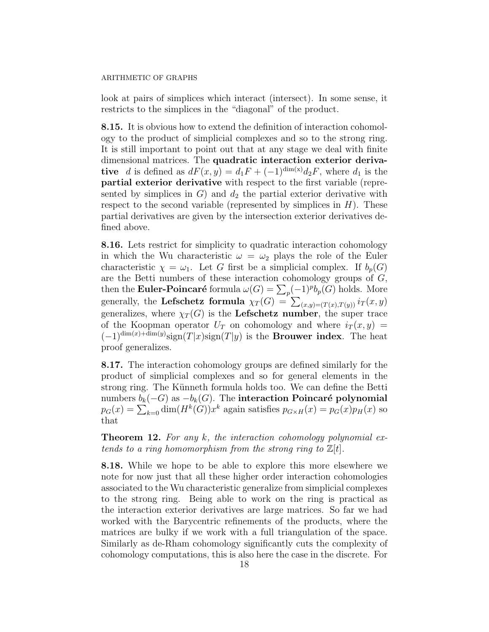look at pairs of simplices which interact (intersect). In some sense, it restricts to the simplices in the "diagonal" of the product.

8.15. It is obvious how to extend the definition of interaction cohomology to the product of simplicial complexes and so to the strong ring. It is still important to point out that at any stage we deal with finite dimensional matrices. The quadratic interaction exterior derivative d is defined as  $dF(x, y) = d_1F + (-1)^{\dim(x)}d_2F$ , where  $d_1$  is the partial exterior derivative with respect to the first variable (represented by simplices in  $G$ ) and  $d_2$  the partial exterior derivative with respect to the second variable (represented by simplices in  $H$ ). These partial derivatives are given by the intersection exterior derivatives defined above.

8.16. Lets restrict for simplicity to quadratic interaction cohomology in which the Wu characteristic  $\omega = \omega_2$  plays the role of the Euler characteristic  $\chi = \omega_1$ . Let G first be a simplicial complex. If  $b_p(G)$ are the Betti numbers of these interaction cohomology groups of G, then the **Euler-Poincaré** formula  $\omega(G) = \sum_{p} (-1)^{p} b_{p}(G)$  holds. More generally, the Lefschetz formula  $\chi_T(G) = \sum_{(x,y)=(T(x),T(y))} i_T(x,y)$ generalizes, where  $\chi_T(G)$  is the Lefschetz number, the super trace of the Koopman operator  $U_T$  on cohomology and where  $i_T(x, y) =$  $(-1)^{\dim(x)+\dim(y)}\text{sign}(T|x)\text{sign}(T|y)$  is the **Brouwer index**. The heat proof generalizes.

8.17. The interaction cohomology groups are defined similarly for the product of simplicial complexes and so for general elements in the strong ring. The Künneth formula holds too. We can define the Betti numbers  $b_k(-G)$  as  $-b_k(G)$ . The interaction Poincaré polynomial  $p_G(x) = \sum_{k=0} \dim(H^k(G))x^k$  again satisfies  $p_{G \times H}(x) = p_G(x)p_H(x)$  so that

**Theorem 12.** For any k, the interaction cohomology polynomial extends to a ring homomorphism from the strong ring to  $\mathbb{Z}[t]$ .

8.18. While we hope to be able to explore this more elsewhere we note for now just that all these higher order interaction cohomologies associated to the Wu characteristic generalize from simplicial complexes to the strong ring. Being able to work on the ring is practical as the interaction exterior derivatives are large matrices. So far we had worked with the Barycentric refinements of the products, where the matrices are bulky if we work with a full triangulation of the space. Similarly as de-Rham cohomology significantly cuts the complexity of cohomology computations, this is also here the case in the discrete. For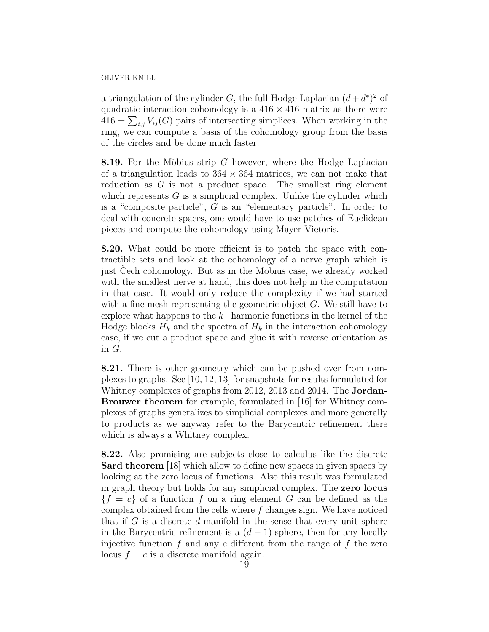a triangulation of the cylinder G, the full Hodge Laplacian  $(d + d^*)^2$  of quadratic interaction cohomology is a  $416 \times 416$  matrix as there were  $416 = \sum_{i,j} V_{ij}(G)$  pairs of intersecting simplices. When working in the ring, we can compute a basis of the cohomology group from the basis of the circles and be done much faster.

8.19. For the Möbius strip G however, where the Hodge Laplacian of a triangulation leads to  $364 \times 364$  matrices, we can not make that reduction as  $G$  is not a product space. The smallest ring element which represents  $G$  is a simplicial complex. Unlike the cylinder which is a "composite particle", G is an "elementary particle". In order to deal with concrete spaces, one would have to use patches of Euclidean pieces and compute the cohomology using Mayer-Vietoris.

8.20. What could be more efficient is to patch the space with contractible sets and look at the cohomology of a nerve graph which is just Cech cohomology. But as in the Möbius case, we already worked with the smallest nerve at hand, this does not help in the computation in that case. It would only reduce the complexity if we had started with a fine mesh representing the geometric object  $G$ . We still have to explore what happens to the  $k-$ harmonic functions in the kernel of the Hodge blocks  $H_k$  and the spectra of  $H_k$  in the interaction cohomology case, if we cut a product space and glue it with reverse orientation as in G.

8.21. There is other geometry which can be pushed over from complexes to graphs. See [10, 12, 13] for snapshots for results formulated for Whitney complexes of graphs from 2012, 2013 and 2014. The Jordan-Brouwer theorem for example, formulated in [16] for Whitney complexes of graphs generalizes to simplicial complexes and more generally to products as we anyway refer to the Barycentric refinement there which is always a Whitney complex.

8.22. Also promising are subjects close to calculus like the discrete Sard theorem [18] which allow to define new spaces in given spaces by looking at the zero locus of functions. Also this result was formulated in graph theory but holds for any simplicial complex. The zero locus  ${f = c}$  of a function f on a ring element G can be defined as the complex obtained from the cells where  $f$  changes sign. We have noticed that if  $G$  is a discrete d-manifold in the sense that every unit sphere in the Barycentric refinement is a  $(d-1)$ -sphere, then for any locally injective function  $f$  and any  $c$  different from the range of  $f$  the zero locus  $f = c$  is a discrete manifold again.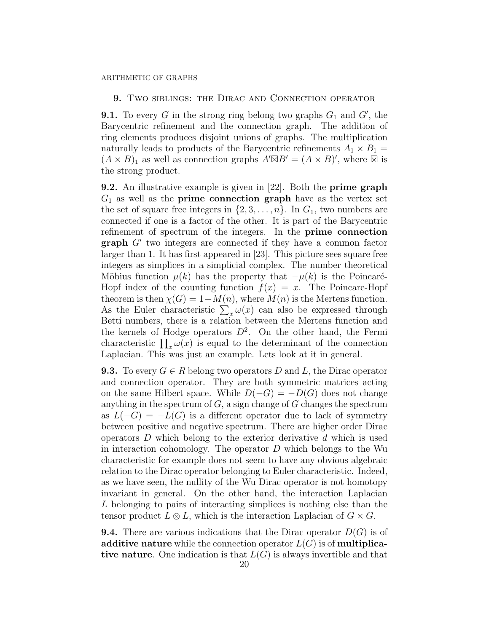## 9. Two siblings: the Dirac and Connection operator

**9.1.** To every G in the strong ring belong two graphs  $G_1$  and  $G'$ , the Barycentric refinement and the connection graph. The addition of ring elements produces disjoint unions of graphs. The multiplication naturally leads to products of the Barycentric refinements  $A_1 \times B_1 =$  $(A \times B)_1$  as well as connection graphs  $A' \boxtimes B' = (A \times B)'$ , where  $\boxtimes$  is the strong product.

9.2. An illustrative example is given in [22]. Both the prime graph  $G_1$  as well as the **prime connection graph** have as the vertex set the set of square free integers in  $\{2, 3, \ldots, n\}$ . In  $G_1$ , two numbers are connected if one is a factor of the other. It is part of the Barycentric refinement of spectrum of the integers. In the prime connection  $graph G'$  two integers are connected if they have a common factor larger than 1. It has first appeared in [23]. This picture sees square free integers as simplices in a simplicial complex. The number theoretical Möbius function  $\mu(k)$  has the property that  $-\mu(k)$  is the Poincaré-Hopf index of the counting function  $f(x) = x$ . The Poincare-Hopf theorem is then  $\chi(G) = 1 - M(n)$ , where  $M(n)$  is the Mertens function. As the Euler characteristic  $\sum_{x} \omega(x)$  can also be expressed through Betti numbers, there is a relation between the Mertens function and the kernels of Hodge operators  $D^2$ . On the other hand, the Fermi characteristic  $\prod_x \omega(x)$  is equal to the determinant of the connection Laplacian. This was just an example. Lets look at it in general.

**9.3.** To every  $G \in R$  belong two operators D and L, the Dirac operator and connection operator. They are both symmetric matrices acting on the same Hilbert space. While  $D(-G) = -D(G)$  does not change anything in the spectrum of  $G$ , a sign change of  $G$  changes the spectrum as  $L(-G) = -L(G)$  is a different operator due to lack of symmetry between positive and negative spectrum. There are higher order Dirac operators  $D$  which belong to the exterior derivative  $d$  which is used in interaction cohomology. The operator  $D$  which belongs to the Wu characteristic for example does not seem to have any obvious algebraic relation to the Dirac operator belonging to Euler characteristic. Indeed, as we have seen, the nullity of the Wu Dirac operator is not homotopy invariant in general. On the other hand, the interaction Laplacian L belonging to pairs of interacting simplices is nothing else than the tensor product  $L \otimes L$ , which is the interaction Laplacian of  $G \times G$ .

**9.4.** There are various indications that the Dirac operator  $D(G)$  is of additive nature while the connection operator  $L(G)$  is of multiplicative nature. One indication is that  $L(G)$  is always invertible and that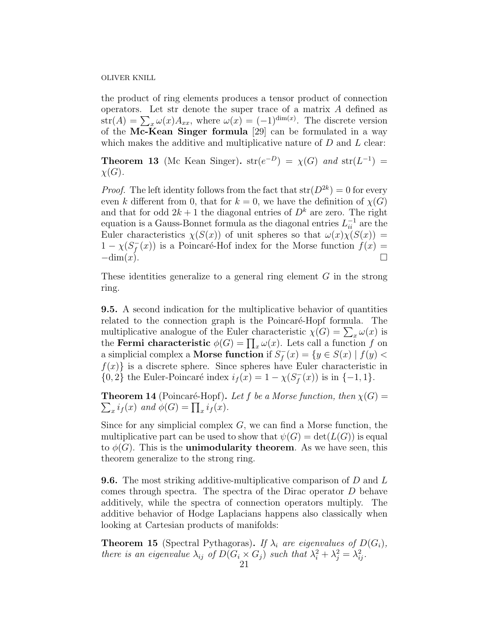the product of ring elements produces a tensor product of connection operators. Let str denote the super trace of a matrix A defined as  $str(A) = \sum_{x} \omega(x) A_{xx}$ , where  $\omega(x) = (-1)^{\dim(x)}$ . The discrete version of the Mc-Kean Singer formula [29] can be formulated in a way which makes the additive and multiplicative nature of  $D$  and  $L$  clear:

**Theorem 13** (Mc Kean Singer).  $str(e^{-D}) = \chi(G)$  and  $str(L^{-1}) =$  $\chi(G)$ .

*Proof.* The left identity follows from the fact that  $str(D^{2k}) = 0$  for every even k different from 0, that for  $k = 0$ , we have the definition of  $\chi(G)$ and that for odd  $2k + 1$  the diagonal entries of  $D<sup>k</sup>$  are zero. The right equation is a Gauss-Bonnet formula as the diagonal entries  $L_{ii}^{-1}$  are the Euler characteristics  $\chi(S(x))$  of unit spheres so that  $\omega(x)\chi(S(x)) =$  $1 - \chi(S_{f}^{-})$  $f(x)$  is a Poincaré-Hof index for the Morse function  $f(x) =$  $-\dim(x)$ .

These identities generalize to a general ring element  $G$  in the strong ring.

9.5. A second indication for the multiplicative behavior of quantities related to the connection graph is the Poincaré-Hopf formula. The multiplicative analogue of the Euler characteristic  $\chi(G) = \sum_x \omega(x)$  is the **Fermi characteristic**  $\phi(G) = \prod_x \omega(x)$ . Lets call a function f on a simplicial complex a **Morse function** if  $S_f^$  $f_f^-(x) = \{y \in S(x) \mid f(y)$  $f(x)$  is a discrete sphere. Since spheres have Euler characteristic in  $\{0, 2\}$  the Euler-Poincaré index  $i_f(x) = 1 - \chi(S_f)$  $f_1^-(x)$ ) is in  $\{-1,1\}$ .

**Theorem 14** (Poincaré-Hopf). Let f be a Morse function, then  $\chi(G)$  =  $\sum_{x} i_f(x)$  and  $\phi(G) = \prod_{x} i_f(x)$ .

Since for any simplicial complex  $G$ , we can find a Morse function, the multiplicative part can be used to show that  $\psi(G) = \det(L(G))$  is equal to  $\phi(G)$ . This is the **unimodularity theorem**. As we have seen, this theorem generalize to the strong ring.

**9.6.** The most striking additive-multiplicative comparison of  $D$  and  $L$ comes through spectra. The spectra of the Dirac operator D behave additively, while the spectra of connection operators multiply. The additive behavior of Hodge Laplacians happens also classically when looking at Cartesian products of manifolds:

**Theorem 15** (Spectral Pythagoras). If  $\lambda_i$  are eigenvalues of  $D(G_i)$ , there is an eigenvalue  $\lambda_{ij}$  of  $D(G_i \times G_j)$  such that  $\lambda_i^2 + \lambda_j^2 = \lambda_{ij}^2$ .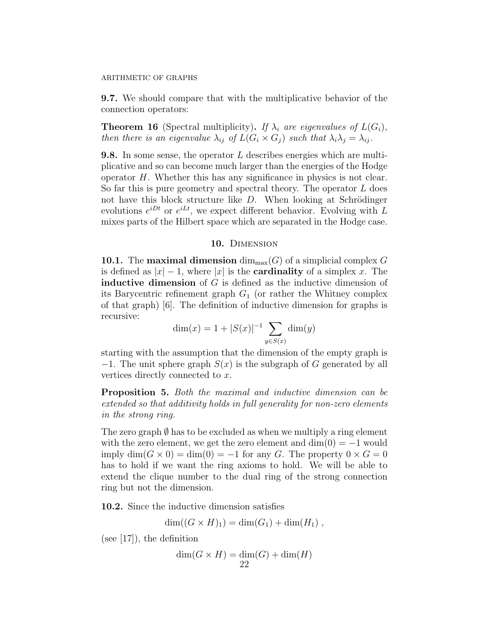9.7. We should compare that with the multiplicative behavior of the connection operators:

**Theorem 16** (Spectral multiplicity). If  $\lambda_i$  are eigenvalues of  $L(G_i)$ , then there is an eigenvalue  $\lambda_{ij}$  of  $L(G_i \times G_j)$  such that  $\lambda_i \lambda_j = \lambda_{ij}$ .

**9.8.** In some sense, the operator L describes energies which are multiplicative and so can become much larger than the energies of the Hodge operator  $H$ . Whether this has any significance in physics is not clear. So far this is pure geometry and spectral theory. The operator  $L$  does not have this block structure like  $D$ . When looking at Schrödinger evolutions  $e^{iDt}$  or  $e^{iLt}$ , we expect different behavior. Evolving with L mixes parts of the Hilbert space which are separated in the Hodge case.

## 10. DIMENSION

10.1. The **maximal dimension**  $\dim_{\text{max}}(G)$  of a simplicial complex G is defined as  $|x| - 1$ , where  $|x|$  is the **cardinality** of a simplex x. The **inductive dimension** of  $G$  is defined as the inductive dimension of its Barycentric refinement graph  $G_1$  (or rather the Whitney complex of that graph) [6]. The definition of inductive dimension for graphs is recursive:

$$
\dim(x) = 1 + |S(x)|^{-1} \sum_{y \in S(x)} \dim(y)
$$

starting with the assumption that the dimension of the empty graph is −1. The unit sphere graph  $S(x)$  is the subgraph of G generated by all vertices directly connected to x.

Proposition 5. Both the maximal and inductive dimension can be extended so that additivity holds in full generality for non-zero elements in the strong ring.

The zero graph  $\emptyset$  has to be excluded as when we multiply a ring element with the zero element, we get the zero element and  $\dim(0) = -1$  would imply  $\dim(G \times 0) = \dim(0) = -1$  for any G. The property  $0 \times G = 0$ has to hold if we want the ring axioms to hold. We will be able to extend the clique number to the dual ring of the strong connection ring but not the dimension.

10.2. Since the inductive dimension satisfies

$$
\dim((G \times H)_1) = \dim(G_1) + \dim(H_1) ,
$$

(see [17]), the definition

$$
\dim(G \times H) = \dim(G) + \dim(H)
$$
  
22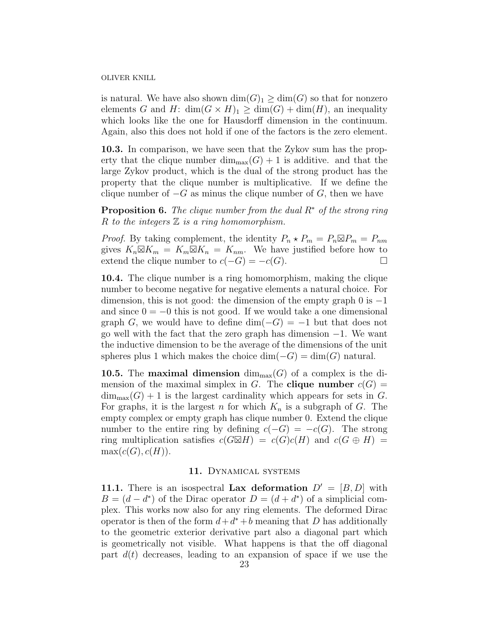is natural. We have also shown  $\dim(G)_1 \geq \dim(G)$  so that for nonzero elements G and H:  $\dim(G \times H)_1 \geq \dim(G) + \dim(H)$ , an inequality which looks like the one for Hausdorff dimension in the continuum. Again, also this does not hold if one of the factors is the zero element.

10.3. In comparison, we have seen that the Zykov sum has the property that the clique number  $\dim_{\text{max}}(G) + 1$  is additive. and that the large Zykov product, which is the dual of the strong product has the property that the clique number is multiplicative. If we define the clique number of  $-G$  as minus the clique number of  $G$ , then we have

**Proposition 6.** The clique number from the dual  $R^*$  of the strong ring R to the integers  $\mathbb Z$  is a ring homomorphism.

*Proof.* By taking complement, the identity  $P_n \star P_m = P_n \boxtimes P_m = P_{nm}$ gives  $K_n \boxtimes K_m = K_m \boxtimes K_n = K_{nm}$ . We have justified before how to extend the clique number to  $c(-G) = -c(G)$ .

10.4. The clique number is a ring homomorphism, making the clique number to become negative for negative elements a natural choice. For dimension, this is not good: the dimension of the empty graph 0 is  $-1$ and since  $0 = -0$  this is not good. If we would take a one dimensional graph G, we would have to define dim( $-G$ ) =  $-1$  but that does not go well with the fact that the zero graph has dimension  $-1$ . We want the inductive dimension to be the average of the dimensions of the unit spheres plus 1 which makes the choice  $\dim(-G) = \dim(G)$  natural.

**10.5.** The **maximal dimension**  $\dim_{\text{max}}(G)$  of a complex is the dimension of the maximal simplex in G. The **clique number**  $c(G)$  =  $\dim_{\text{max}}(G) + 1$  is the largest cardinality which appears for sets in G. For graphs, it is the largest n for which  $K_n$  is a subgraph of G. The empty complex or empty graph has clique number 0. Extend the clique number to the entire ring by defining  $c(-G) = -c(G)$ . The strong ring multiplication satisfies  $c(G\boxtimes H) = c(G)c(H)$  and  $c(G \oplus H) =$  $max(c(G), c(H)).$ 

## 11. Dynamical systems

11.1. There is an isospectral Lax deformation  $D' = [B, D]$  with  $B = (d - d^*)$  of the Dirac operator  $D = (d + d^*)$  of a simplicial complex. This works now also for any ring elements. The deformed Dirac operator is then of the form  $d + d^* + b$  meaning that D has additionally to the geometric exterior derivative part also a diagonal part which is geometrically not visible. What happens is that the off diagonal part  $d(t)$  decreases, leading to an expansion of space if we use the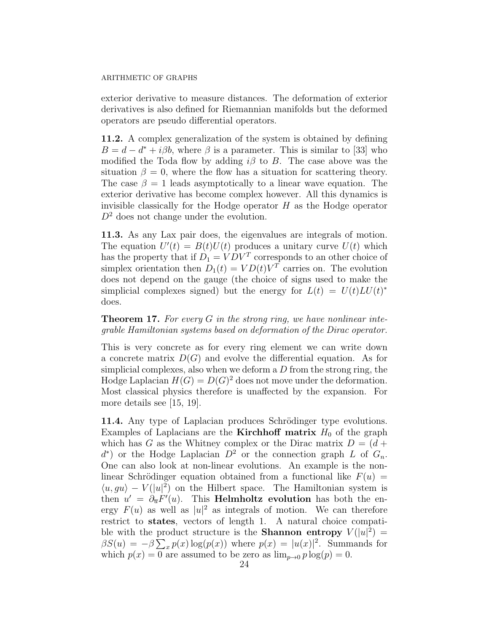exterior derivative to measure distances. The deformation of exterior derivatives is also defined for Riemannian manifolds but the deformed operators are pseudo differential operators.

11.2. A complex generalization of the system is obtained by defining  $B = d - d^* + i\beta b$ , where  $\beta$  is a parameter. This is similar to [33] who modified the Toda flow by adding  $i\beta$  to B. The case above was the situation  $\beta = 0$ , where the flow has a situation for scattering theory. The case  $\beta = 1$  leads asymptotically to a linear wave equation. The exterior derivative has become complex however. All this dynamics is invisible classically for the Hodge operator  $H$  as the Hodge operator  $D<sup>2</sup>$  does not change under the evolution.

11.3. As any Lax pair does, the eigenvalues are integrals of motion. The equation  $U'(t) = B(t)U(t)$  produces a unitary curve  $U(t)$  which has the property that if  $D_1 = VDV^T$  corresponds to an other choice of simplex orientation then  $D_1(t) = V D(t) V^T$  carries on. The evolution does not depend on the gauge (the choice of signs used to make the simplicial complexes signed) but the energy for  $L(t) = U(t)LU(t)^*$ does.

# **Theorem 17.** For every  $G$  in the strong ring, we have nonlinear integrable Hamiltonian systems based on deformation of the Dirac operator.

This is very concrete as for every ring element we can write down a concrete matrix  $D(G)$  and evolve the differential equation. As for simplicial complexes, also when we deform a  $D$  from the strong ring, the Hodge Laplacian  $H(G) = D(G)^2$  does not move under the deformation. Most classical physics therefore is unaffected by the expansion. For more details see [15, 19].

11.4. Any type of Laplacian produces Schrödinger type evolutions. Examples of Laplacians are the **Kirchhoff matrix**  $H_0$  of the graph which has G as the Whitney complex or the Dirac matrix  $D = (d +$  $d^*$ ) or the Hodge Laplacian  $D^2$  or the connection graph L of  $G_n$ . One can also look at non-linear evolutions. An example is the nonlinear Schrödinger equation obtained from a functional like  $F(u) =$  $\langle u, gu \rangle - V(|u|^2)$  on the Hilbert space. The Hamiltonian system is then  $u' = \partial_{\overline{u}} F'(u)$ . This **Helmholtz evolution** has both the energy  $F(u)$  as well as  $|u|^2$  as integrals of motion. We can therefore restrict to states, vectors of length 1. A natural choice compatible with the product structure is the **Shannon entropy**  $V(|u|^2) =$  $\beta S(u) = -\beta \sum_{x} p(x) \log(p(x))$  where  $p(x) = |u(x)|^2$ . Summands for which  $p(x) = 0$  are assumed to be zero as  $\lim_{p\to 0} p \log(p) = 0$ .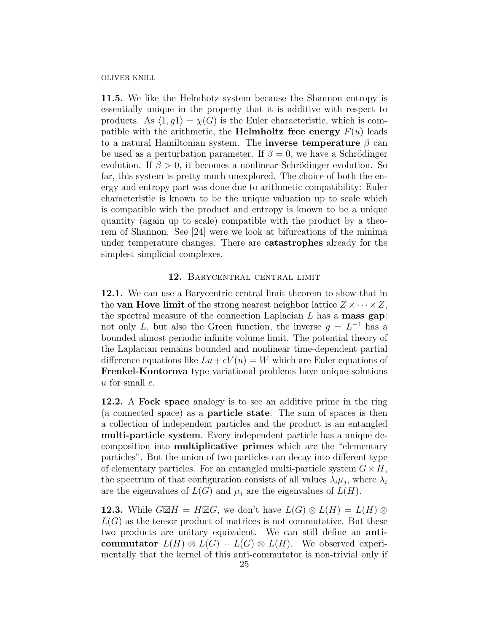11.5. We like the Helmhotz system because the Shannon entropy is essentially unique in the property that it is additive with respect to products. As  $\langle 1, q1 \rangle = \chi(G)$  is the Euler characteristic, which is compatible with the arithmetic, the **Helmholtz free energy**  $F(u)$  leads to a natural Hamiltonian system. The **inverse temperature**  $\beta$  can be used as a perturbation parameter. If  $\beta = 0$ , we have a Schrödinger evolution. If  $\beta > 0$ , it becomes a nonlinear Schrödinger evolution. So far, this system is pretty much unexplored. The choice of both the energy and entropy part was done due to arithmetic compatibility: Euler characteristic is known to be the unique valuation up to scale which is compatible with the product and entropy is known to be a unique quantity (again up to scale) compatible with the product by a theorem of Shannon. See [24] were we look at bifurcations of the minima under temperature changes. There are catastrophes already for the simplest simplicial complexes.

# 12. Barycentral central limit

12.1. We can use a Barycentric central limit theorem to show that in the **van Hove limit** of the strong nearest neighbor lattice  $Z \times \cdots \times Z$ , the spectral measure of the connection Laplacian  $L$  has a **mass gap**: not only L, but also the Green function, the inverse  $g = L^{-1}$  has a bounded almost periodic infinite volume limit. The potential theory of the Laplacian remains bounded and nonlinear time-dependent partial difference equations like  $Lu + cV(u) = W$  which are Euler equations of Frenkel-Kontorova type variational problems have unique solutions  $u$  for small  $c$ .

12.2. A Fock space analogy is to see an additive prime in the ring (a connected space) as a particle state. The sum of spaces is then a collection of independent particles and the product is an entangled multi-particle system. Every independent particle has a unique decomposition into multiplicative primes which are the "elementary particles". But the union of two particles can decay into different type of elementary particles. For an entangled multi-particle system  $G \times H$ , the spectrum of that configuration consists of all values  $\lambda_i \mu_j$ , where  $\lambda_i$ are the eigenvalues of  $L(G)$  and  $\mu_i$  are the eigenvalues of  $L(H)$ .

**12.3.** While  $G\boxtimes H = H\boxtimes G$ , we don't have  $L(G) \otimes L(H) = L(H) \otimes$  $L(G)$  as the tensor product of matrices is not commutative. But these two products are unitary equivalent. We can still define an anticommutator  $L(H) \otimes L(G) - L(G) \otimes L(H)$ . We observed experimentally that the kernel of this anti-commutator is non-trivial only if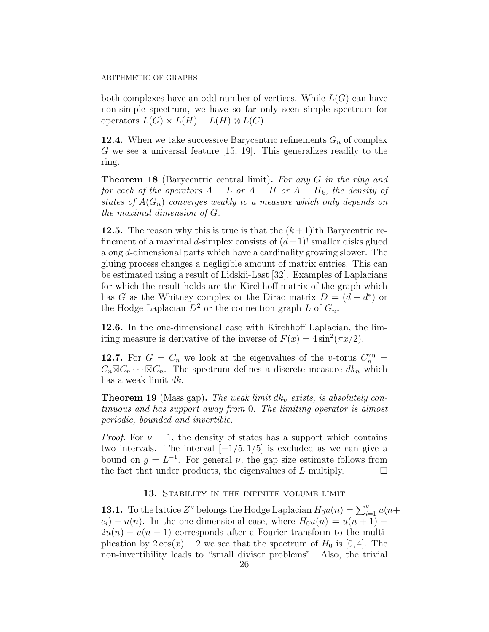both complexes have an odd number of vertices. While  $L(G)$  can have non-simple spectrum, we have so far only seen simple spectrum for operators  $L(G) \times L(H) - L(H) \otimes L(G)$ .

**12.4.** When we take successive Barycentric refinements  $G_n$  of complex G we see a universal feature [15, 19]. This generalizes readily to the ring.

Theorem 18 (Barycentric central limit). For any G in the ring and for each of the operators  $A = L$  or  $A = H$  or  $A = H_k$ , the density of states of  $A(G_n)$  converges weakly to a measure which only depends on the maximal dimension of G.

**12.5.** The reason why this is true is that the  $(k+1)$ 'th Barycentric refinement of a maximal d-simplex consists of  $(d-1)!$  smaller disks glued along d-dimensional parts which have a cardinality growing slower. The gluing process changes a negligible amount of matrix entries. This can be estimated using a result of Lidskii-Last [32]. Examples of Laplacians for which the result holds are the Kirchhoff matrix of the graph which has G as the Whitney complex or the Dirac matrix  $D = (d + d^*)$  or the Hodge Laplacian  $D^2$  or the connection graph L of  $G_n$ .

12.6. In the one-dimensional case with Kirchhoff Laplacian, the limiting measure is derivative of the inverse of  $F(x) = 4 \sin^2(\pi x/2)$ .

12.7. For  $G = C_n$  we look at the eigenvalues of the v-torus  $C_n^{\text{nu}} =$  $C_n\boxtimes C_n\cdots\boxtimes C_n$ . The spectrum defines a discrete measure  $dk_n$  which has a weak limit dk.

**Theorem 19** (Mass gap). The weak limit  $dk_n$  exists, is absolutely continuous and has support away from 0. The limiting operator is almost periodic, bounded and invertible.

*Proof.* For  $\nu = 1$ , the density of states has a support which contains two intervals. The interval  $[-1/5, 1/5]$  is excluded as we can give a bound on  $g = L^{-1}$ . For general  $\nu$ , the gap size estimate follows from the fact that under products, the eigenvalues of L multiply.  $\Box$ 

# 13. STABILITY IN THE INFINITE VOLUME LIMIT

**13.1.** To the lattice  $Z^{\nu}$  belongs the Hodge Laplacian  $H_0u(n) = \sum_{i=1}^{\nu} u(n+1)$  $e_i$ ) −  $u(n)$ . In the one-dimensional case, where  $H_0u(n) = u(n+1)$  −  $2u(n) - u(n-1)$  corresponds after a Fourier transform to the multiplication by  $2\cos(x) - 2$  we see that the spectrum of  $H_0$  is [0, 4]. The non-invertibility leads to "small divisor problems". Also, the trivial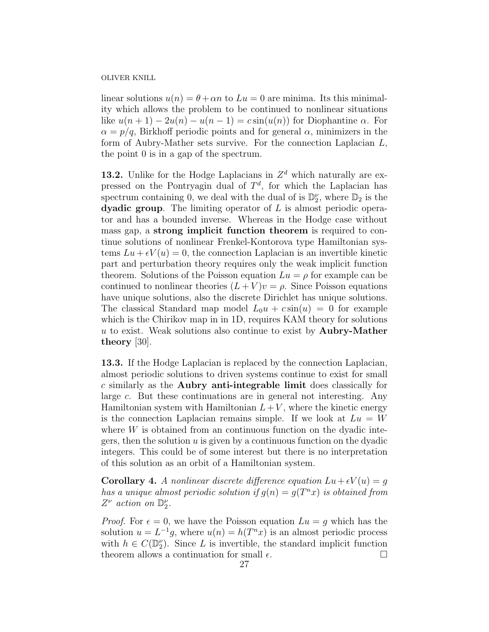linear solutions  $u(n) = \theta + \alpha n$  to  $Lu = 0$  are minima. Its this minimality which allows the problem to be continued to nonlinear situations like  $u(n+1) - 2u(n) - u(n-1) = c \sin(u(n))$  for Diophantine  $\alpha$ . For  $\alpha = p/q$ , Birkhoff periodic points and for general  $\alpha$ , minimizers in the form of Aubry-Mather sets survive. For the connection Laplacian L, the point 0 is in a gap of the spectrum.

**13.2.** Unlike for the Hodge Laplacians in  $Z<sup>d</sup>$  which naturally are expressed on the Pontryagin dual of  $T<sup>d</sup>$ , for which the Laplacian has spectrum containing 0, we deal with the dual of is  $\mathbb{D}_2^{\nu}$ , where  $\mathbb{D}_2$  is the **dyadic group.** The limiting operator of  $L$  is almost periodic operator and has a bounded inverse. Whereas in the Hodge case without mass gap, a strong implicit function theorem is required to continue solutions of nonlinear Frenkel-Kontorova type Hamiltonian systems  $Lu + \epsilon V(u) = 0$ , the connection Laplacian is an invertible kinetic part and perturbation theory requires only the weak implicit function theorem. Solutions of the Poisson equation  $Lu = \rho$  for example can be continued to nonlinear theories  $(L + V)v = \rho$ . Since Poisson equations have unique solutions, also the discrete Dirichlet has unique solutions. The classical Standard map model  $L_0u + c \sin(u) = 0$  for example which is the Chirikov map in in 1D, requires KAM theory for solutions  $u$  to exist. Weak solutions also continue to exist by **Aubry-Mather** theory [30].

13.3. If the Hodge Laplacian is replaced by the connection Laplacian, almost periodic solutions to driven systems continue to exist for small c similarly as the Aubry anti-integrable limit does classically for large c. But these continuations are in general not interesting. Any Hamiltonian system with Hamiltonian  $L+V$ , where the kinetic energy is the connection Laplacian remains simple. If we look at  $Lu = W$ where  $W$  is obtained from an continuous function on the dyadic integers, then the solution  $u$  is given by a continuous function on the dyadic integers. This could be of some interest but there is no interpretation of this solution as an orbit of a Hamiltonian system.

**Corollary 4.** A nonlinear discrete difference equation  $Lu + \epsilon V(u) = g$ has a unique almost periodic solution if  $g(n) = g(T^n x)$  is obtained from  $Z^{\nu}$  action on  $\mathbb{D}_{2}^{\nu}$ .

*Proof.* For  $\epsilon = 0$ , we have the Poisson equation  $Lu = g$  which has the solution  $u = L^{-1}g$ , where  $u(n) = h(T^n x)$  is an almost periodic process with  $h \in C(\mathbb{D}_2^{\nu})$ . Since L is invertible, the standard implicit function theorem allows a continuation for small  $\epsilon$ .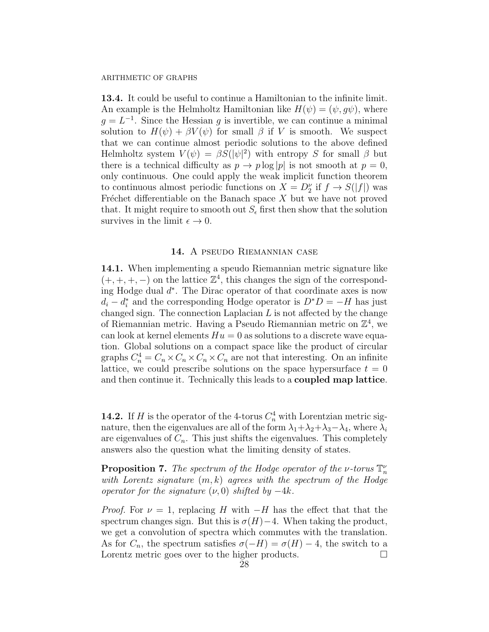13.4. It could be useful to continue a Hamiltonian to the infinite limit. An example is the Helmholtz Hamiltonian like  $H(\psi) = (\psi, q\psi)$ , where  $g = L^{-1}$ . Since the Hessian g is invertible, we can continue a minimal solution to  $H(\psi) + \beta V(\psi)$  for small  $\beta$  if V is smooth. We suspect that we can continue almost periodic solutions to the above defined Helmholtz system  $V(\psi) = \beta S(|\psi|^2)$  with entropy S for small  $\beta$  but there is a technical difficulty as  $p \to p \log |p|$  is not smooth at  $p = 0$ , only continuous. One could apply the weak implicit function theorem to continuous almost periodic functions on  $X = D_2^{\nu}$  if  $f \to S(|f|)$  was Fréchet differentiable on the Banach space  $X$  but we have not proved that. It might require to smooth out  $S_{\epsilon}$  first then show that the solution survives in the limit  $\epsilon \to 0$ .

# 14. A pseudo Riemannian case

14.1. When implementing a speudo Riemannian metric signature like  $(+, +, +, -)$  on the lattice  $\mathbb{Z}^4$ , this changes the sign of the corresponding Hodge dual  $d^*$ . The Dirac operator of that coordinate axes is now  $d_i - d_i^*$  and the corresponding Hodge operator is  $D^*D = -H$  has just changed sign. The connection Laplacian  $L$  is not affected by the change of Riemannian metric. Having a Pseudo Riemannian metric on  $\mathbb{Z}^4$ , we can look at kernel elements  $Hu = 0$  as solutions to a discrete wave equation. Global solutions on a compact space like the product of circular graphs  $C_n^4 = C_n \times C_n \times C_n \times C_n$  are not that interesting. On an infinite lattice, we could prescribe solutions on the space hypersurface  $t = 0$ and then continue it. Technically this leads to a coupled map lattice.

**14.2.** If H is the operator of the 4-torus  $C_n^4$  with Lorentzian metric signature, then the eigenvalues are all of the form  $\lambda_1 + \lambda_2 + \lambda_3 - \lambda_4$ , where  $\lambda_i$ are eigenvalues of  $C_n$ . This just shifts the eigenvalues. This completely answers also the question what the limiting density of states.

**Proposition 7.** The spectrum of the Hodge operator of the *ν*-torus  $\mathbb{T}_n^{\nu}$ with Lorentz signature  $(m, k)$  agrees with the spectrum of the Hodge operator for the signature  $(\nu, 0)$  shifted by  $-4k$ .

*Proof.* For  $\nu = 1$ , replacing H with  $-H$  has the effect that that the spectrum changes sign. But this is  $\sigma(H)-4$ . When taking the product, we get a convolution of spectra which commutes with the translation. As for  $C_n$ , the spectrum satisfies  $\sigma(-H) = \sigma(H) - 4$ , the switch to a Lorentz metric goes over to the higher products.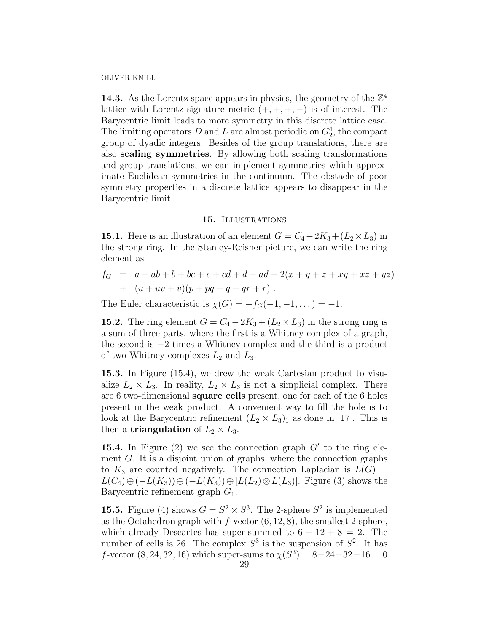**14.3.** As the Lorentz space appears in physics, the geometry of the  $\mathbb{Z}^4$ lattice with Lorentz signature metric  $(+, +, +, -)$  is of interest. The Barycentric limit leads to more symmetry in this discrete lattice case. The limiting operators D and L are almost periodic on  $G_2^4$ , the compact group of dyadic integers. Besides of the group translations, there are also scaling symmetries. By allowing both scaling transformations and group translations, we can implement symmetries which approximate Euclidean symmetries in the continuum. The obstacle of poor symmetry properties in a discrete lattice appears to disappear in the Barycentric limit.

# 15. ILLUSTRATIONS

**15.1.** Here is an illustration of an element  $G = C_4 - 2K_3 + (L_2 \times L_3)$  in the strong ring. In the Stanley-Reisner picture, we can write the ring element as

$$
f_G = a + ab + b + bc + c + cd + d + ad - 2(x + y + z + xy + xz + yz)
$$
  
+ 
$$
(u + uv + v)(p + pq + q + qr + r).
$$

The Euler characteristic is  $\chi(G) = -f_G(-1, -1, \dots) = -1$ .

**15.2.** The ring element  $G = C_4 - 2K_3 + (L_2 \times L_3)$  in the strong ring is a sum of three parts, where the first is a Whitney complex of a graph, the second is −2 times a Whitney complex and the third is a product of two Whitney complexes  $L_2$  and  $L_3$ .

15.3. In Figure (15.4), we drew the weak Cartesian product to visualize  $L_2 \times L_3$ . In reality,  $L_2 \times L_3$  is not a simplicial complex. There are 6 two-dimensional square cells present, one for each of the 6 holes present in the weak product. A convenient way to fill the hole is to look at the Barycentric refinement  $(L_2 \times L_3)_1$  as done in [17]. This is then a **triangulation** of  $L_2 \times L_3$ .

15.4. In Figure  $(2)$  we see the connection graph  $G'$  to the ring element  $G$ . It is a disjoint union of graphs, where the connection graphs to  $K_3$  are counted negatively. The connection Laplacian is  $L(G)$  =  $L(C_4) \oplus (-L(K_3)) \oplus (-L(K_3)) \oplus [L(L_2) \otimes L(L_3)]$ . Figure (3) shows the Barycentric refinement graph  $G_1$ .

**15.5.** Figure (4) shows  $G = S^2 \times S^3$ . The 2-sphere  $S^2$  is implemented as the Octahedron graph with  $f$ -vector  $(6, 12, 8)$ , the smallest 2-sphere, which already Descartes has super-summed to  $6 - 12 + 8 = 2$ . The number of cells is 26. The complex  $S^3$  is the suspension of  $S^2$ . It has f-vector  $(8, 24, 32, 16)$  which super-sums to  $\chi(S^3) = 8 - 24 + 32 - 16 = 0$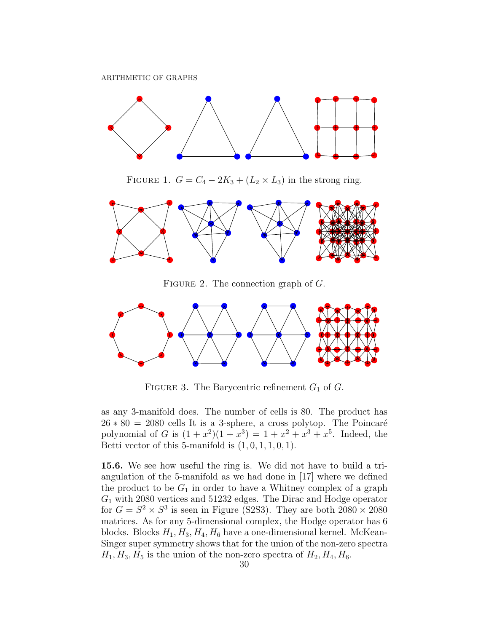

FIGURE 1.  $G = C_4 - 2K_3 + (L_2 \times L_3)$  in the strong ring.



FIGURE 2. The connection graph of  $G$ .



FIGURE 3. The Barycentric refinement  $G_1$  of  $G$ .

as any 3-manifold does. The number of cells is 80. The product has  $26 * 80 = 2080$  cells It is a 3-sphere, a cross polytop. The Poincaré polynomial of G is  $(1+x^2)(1+x^3) = 1+x^2+x^3+x^5$ . Indeed, the Betti vector of this 5-manifold is  $(1, 0, 1, 1, 0, 1)$ .

15.6. We see how useful the ring is. We did not have to build a triangulation of the 5-manifold as we had done in [17] where we defined the product to be  $G_1$  in order to have a Whitney complex of a graph  $G_1$  with 2080 vertices and 51232 edges. The Dirac and Hodge operator for  $G = S^2 \times S^3$  is seen in Figure (S2S3). They are both  $2080 \times 2080$ matrices. As for any 5-dimensional complex, the Hodge operator has 6 blocks. Blocks  $H_1, H_3, H_4, H_6$  have a one-dimensional kernel. McKean-Singer super symmetry shows that for the union of the non-zero spectra  $H_1, H_3, H_5$  is the union of the non-zero spectra of  $H_2, H_4, H_6$ .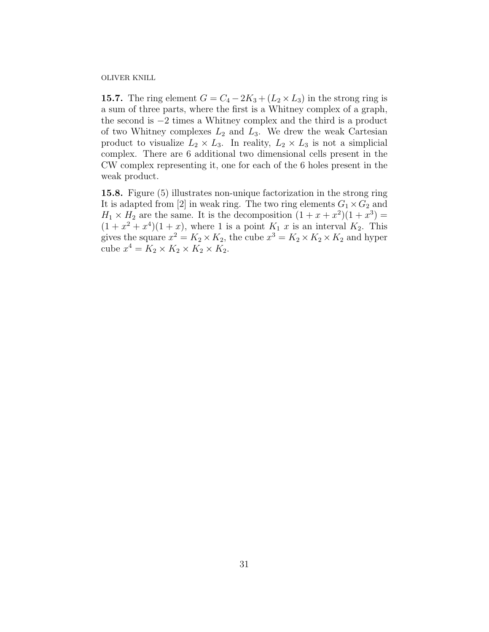**15.7.** The ring element  $G = C_4 - 2K_3 + (L_2 \times L_3)$  in the strong ring is a sum of three parts, where the first is a Whitney complex of a graph, the second is −2 times a Whitney complex and the third is a product of two Whitney complexes  $L_2$  and  $L_3$ . We drew the weak Cartesian product to visualize  $L_2 \times L_3$ . In reality,  $L_2 \times L_3$  is not a simplicial complex. There are 6 additional two dimensional cells present in the CW complex representing it, one for each of the 6 holes present in the weak product.

15.8. Figure (5) illustrates non-unique factorization in the strong ring It is adapted from [2] in weak ring. The two ring elements  $G_1 \times G_2$  and  $H_1 \times H_2$  are the same. It is the decomposition  $(1 + x + x^2)(1 + x^3) =$  $(1+x^2+x^4)(1+x)$ , where 1 is a point  $K_1$  x is an interval  $K_2$ . This gives the square  $x^2 = K_2 \times K_2$ , the cube  $x^3 = K_2 \times K_2 \times K_2$  and hyper cube  $x^4 = K_2 \times K_2 \times K_2 \times K_2$ .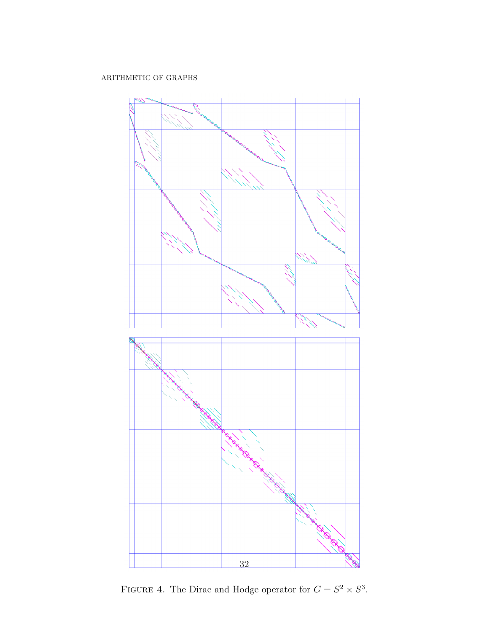

FIGURE 4. The Dirac and Hodge operator for  $G = S^2 \times S^3$ .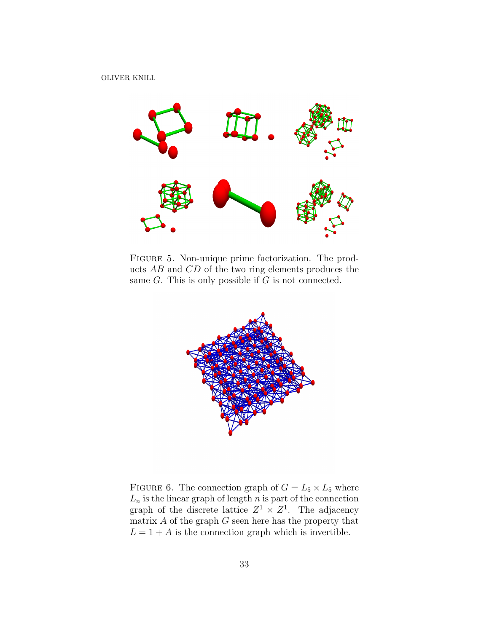

Figure 5. Non-unique prime factorization. The products AB and CD of the two ring elements produces the same  $G$ . This is only possible if  $G$  is not connected.



FIGURE 6. The connection graph of  $G = L_5 \times L_5$  where  $L_n$  is the linear graph of length n is part of the connection graph of the discrete lattice  $Z^1 \times Z^1$ . The adjacency matrix  $A$  of the graph  $G$  seen here has the property that  $L = 1 + A$  is the connection graph which is invertible.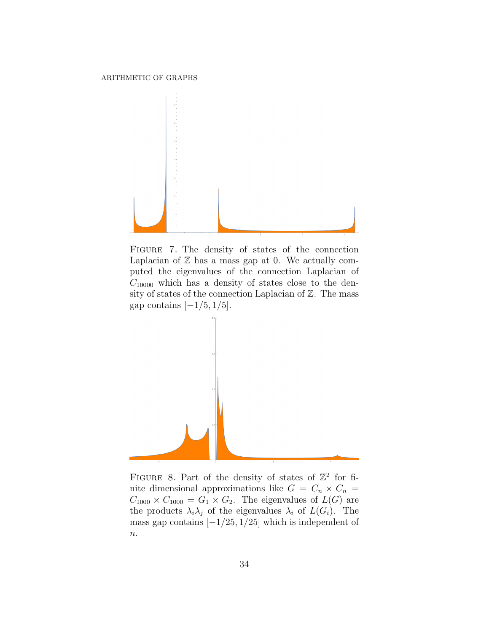

Figure 7. The density of states of the connection Laplacian of  $\mathbb Z$  has a mass gap at 0. We actually computed the eigenvalues of the connection Laplacian of  $C_{10000}$  which has a density of states close to the density of states of the connection Laplacian of  $\mathbb Z.$  The mass gap contains  $[-1/5, 1/5]$ .



FIGURE 8. Part of the density of states of  $\mathbb{Z}^2$  for finite dimensional approximations like  $G = C_n \times C_n$  $C_{1000} \times C_{1000} = G_1 \times G_2$ . The eigenvalues of  $L(G)$  are the products  $\lambda_i \lambda_j$  of the eigenvalues  $\lambda_i$  of  $L(G_i)$ . The mass gap contains  $[-1/25, 1/25]$  which is independent of  $n$ .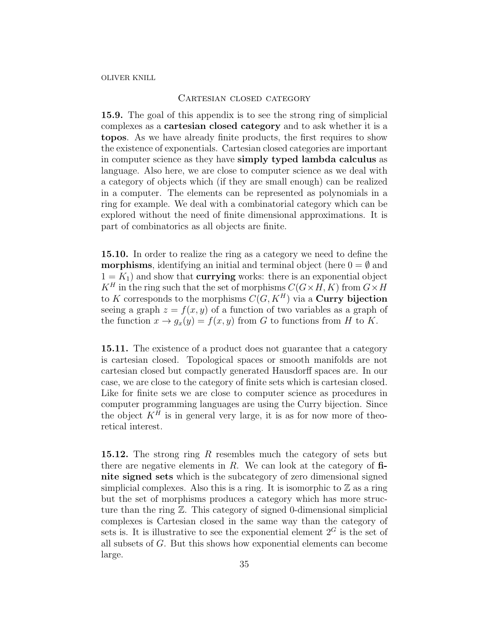## CARTESIAN CLOSED CATEGORY

15.9. The goal of this appendix is to see the strong ring of simplicial complexes as a cartesian closed category and to ask whether it is a topos. As we have already finite products, the first requires to show the existence of exponentials. Cartesian closed categories are important in computer science as they have simply typed lambda calculus as language. Also here, we are close to computer science as we deal with a category of objects which (if they are small enough) can be realized in a computer. The elements can be represented as polynomials in a ring for example. We deal with a combinatorial category which can be explored without the need of finite dimensional approximations. It is part of combinatorics as all objects are finite.

15.10. In order to realize the ring as a category we need to define the **morphisms**, identifying an initial and terminal object (here  $0 = \emptyset$  and  $1 = K_1$ ) and show that **currying** works: there is an exponential object  $K^H$  in the ring such that the set of morphisms  $C(G \times H, K)$  from  $G \times H$ to K corresponds to the morphisms  $C(G, K^H)$  via a Curry bijection seeing a graph  $z = f(x, y)$  of a function of two variables as a graph of the function  $x \to g_x(y) = f(x, y)$  from G to functions from H to K.

15.11. The existence of a product does not guarantee that a category is cartesian closed. Topological spaces or smooth manifolds are not cartesian closed but compactly generated Hausdorff spaces are. In our case, we are close to the category of finite sets which is cartesian closed. Like for finite sets we are close to computer science as procedures in computer programming languages are using the Curry bijection. Since the object  $K<sup>H</sup>$  is in general very large, it is as for now more of theoretical interest.

15.12. The strong ring R resembles much the category of sets but there are negative elements in  $R$ . We can look at the category of  $\bf{fi}$ nite signed sets which is the subcategory of zero dimensional signed simplicial complexes. Also this is a ring. It is isomorphic to  $\mathbb Z$  as a ring but the set of morphisms produces a category which has more structure than the ring Z. This category of signed 0-dimensional simplicial complexes is Cartesian closed in the same way than the category of sets is. It is illustrative to see the exponential element  $2^G$  is the set of all subsets of G. But this shows how exponential elements can become large.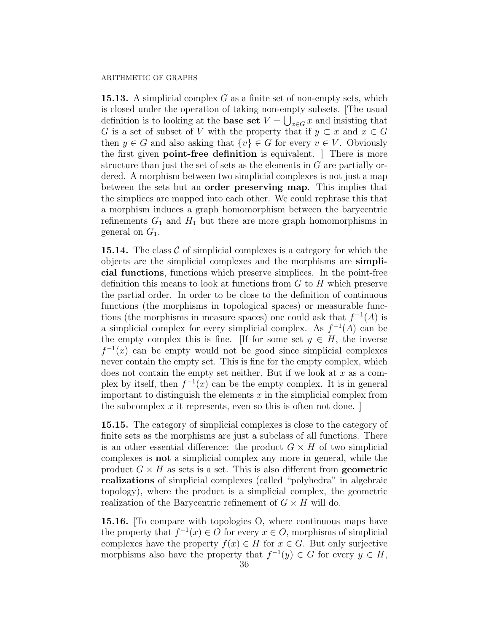**15.13.** A simplicial complex  $G$  as a finite set of non-empty sets, which is closed under the operation of taking non-empty subsets. [The usual definition is to looking at the **base set**  $V = \bigcup_{x \in G} x$  and insisting that G is a set of subset of V with the property that if  $y \subset x$  and  $x \in G$ then  $y \in G$  and also asking that  $\{v\} \in G$  for every  $v \in V$ . Obviously the first given point-free definition is equivalent. ] There is more structure than just the set of sets as the elements in G are partially ordered. A morphism between two simplicial complexes is not just a map between the sets but an order preserving map. This implies that the simplices are mapped into each other. We could rephrase this that a morphism induces a graph homomorphism between the barycentric refinements  $G_1$  and  $H_1$  but there are more graph homomorphisms in general on  $G_1$ .

**15.14.** The class  $\mathcal{C}$  of simplicial complexes is a category for which the objects are the simplicial complexes and the morphisms are simplicial functions, functions which preserve simplices. In the point-free definition this means to look at functions from  $G$  to  $H$  which preserve the partial order. In order to be close to the definition of continuous functions (the morphisms in topological spaces) or measurable functions (the morphisms in measure spaces) one could ask that  $f^{-1}(A)$  is a simplicial complex for every simplicial complex. As  $f^{-1}(A)$  can be the empty complex this is fine. [If for some set  $y \in H$ , the inverse  $f^{-1}(x)$  can be empty would not be good since simplicial complexes never contain the empty set. This is fine for the empty complex, which does not contain the empty set neither. But if we look at  $x$  as a complex by itself, then  $f^{-1}(x)$  can be the empty complex. It is in general important to distinguish the elements  $x$  in the simplicial complex from the subcomplex  $x$  it represents, even so this is often not done.

15.15. The category of simplicial complexes is close to the category of finite sets as the morphisms are just a subclass of all functions. There is an other essential difference: the product  $G \times H$  of two simplicial complexes is not a simplicial complex any more in general, while the product  $G \times H$  as sets is a set. This is also different from **geometric** realizations of simplicial complexes (called "polyhedra" in algebraic topology), where the product is a simplicial complex, the geometric realization of the Barycentric refinement of  $G \times H$  will do.

15.16. [To compare with topologies O, where continuous maps have the property that  $f^{-1}(x) \in O$  for every  $x \in O$ , morphisms of simplicial complexes have the property  $f(x) \in H$  for  $x \in G$ . But only surjective morphisms also have the property that  $f^{-1}(y) \in G$  for every  $y \in H$ ,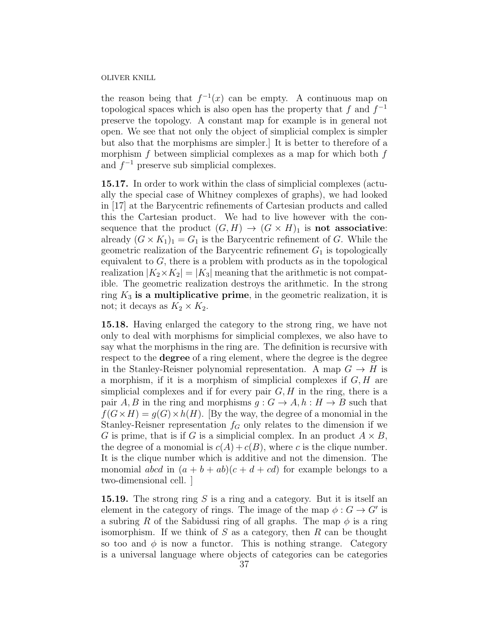the reason being that  $f^{-1}(x)$  can be empty. A continuous map on topological spaces which is also open has the property that f and  $f^{-1}$ preserve the topology. A constant map for example is in general not open. We see that not only the object of simplicial complex is simpler but also that the morphisms are simpler.] It is better to therefore of a morphism f between simplicial complexes as a map for which both  $f$ and  $f^{-1}$  preserve sub simplicial complexes.

15.17. In order to work within the class of simplicial complexes (actually the special case of Whitney complexes of graphs), we had looked in [17] at the Barycentric refinements of Cartesian products and called this the Cartesian product. We had to live however with the consequence that the product  $(G, H) \to (G \times H)_1$  is not associative: already  $(G \times K_1)_1 = G_1$  is the Barycentric refinement of G. While the geometric realization of the Barycentric refinement  $G_1$  is topologically equivalent to  $G$ , there is a problem with products as in the topological realization  $|K_2 \times K_2| = |K_3|$  meaning that the arithmetic is not compatible. The geometric realization destroys the arithmetic. In the strong ring  $K_3$  is a multiplicative prime, in the geometric realization, it is not; it decays as  $K_2 \times K_2$ .

15.18. Having enlarged the category to the strong ring, we have not only to deal with morphisms for simplicial complexes, we also have to say what the morphisms in the ring are. The definition is recursive with respect to the **degree** of a ring element, where the degree is the degree in the Stanley-Reisner polynomial representation. A map  $G \to H$  is a morphism, if it is a morphism of simplicial complexes if  $G, H$  are simplicial complexes and if for every pair  $G, H$  in the ring, there is a pair A, B in the ring and morphisms  $g: G \to A, h: H \to B$  such that  $f(G\times H) = q(G)\times h(H)$ . [By the way, the degree of a monomial in the Stanley-Reisner representation  $f<sub>G</sub>$  only relates to the dimension if we G is prime, that is if G is a simplicial complex. In an product  $A \times B$ , the degree of a monomial is  $c(A) + c(B)$ , where c is the clique number. It is the clique number which is additive and not the dimension. The monomial abcd in  $(a + b + ab)(c + d + cd)$  for example belongs to a two-dimensional cell. ]

**15.19.** The strong ring  $S$  is a ring and a category. But it is itself an element in the category of rings. The image of the map  $\phi : G \to G'$  is a subring R of the Sabidussi ring of all graphs. The map  $\phi$  is a ring isomorphism. If we think of  $S$  as a category, then  $R$  can be thought so too and  $\phi$  is now a functor. This is nothing strange. Category is a universal language where objects of categories can be categories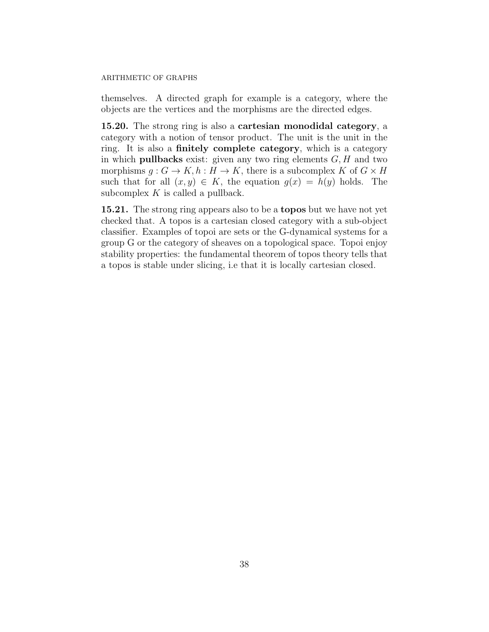themselves. A directed graph for example is a category, where the objects are the vertices and the morphisms are the directed edges.

15.20. The strong ring is also a cartesian monodidal category, a category with a notion of tensor product. The unit is the unit in the ring. It is also a finitely complete category, which is a category in which **pullbacks** exist: given any two ring elements  $G, H$  and two morphisms  $g: G \to K$ ,  $h: H \to K$ , there is a subcomplex K of  $G \times H$ such that for all  $(x, y) \in K$ , the equation  $g(x) = h(y)$  holds. The subcomplex  $K$  is called a pullback.

15.21. The strong ring appears also to be a topos but we have not yet checked that. A topos is a cartesian closed category with a sub-object classifier. Examples of topoi are sets or the G-dynamical systems for a group G or the category of sheaves on a topological space. Topoi enjoy stability properties: the fundamental theorem of topos theory tells that a topos is stable under slicing, i.e that it is locally cartesian closed.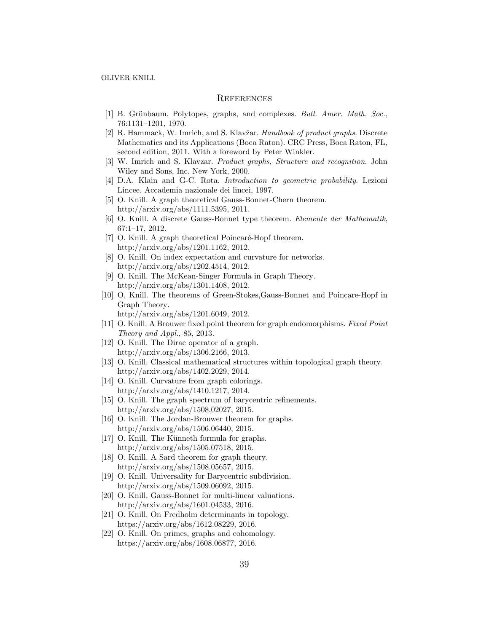## **REFERENCES**

- [1] B. Grünbaum. Polytopes, graphs, and complexes. Bull. Amer. Math. Soc., 76:1131–1201, 1970.
- [2] R. Hammack, W. Imrich, and S. Klavžar. Handbook of product graphs. Discrete Mathematics and its Applications (Boca Raton). CRC Press, Boca Raton, FL, second edition, 2011. With a foreword by Peter Winkler.
- [3] W. Imrich and S. Klavzar. Product graphs, Structure and recognition. John Wiley and Sons, Inc. New York, 2000.
- [4] D.A. Klain and G-C. Rota. Introduction to geometric probability. Lezioni Lincee. Accademia nazionale dei lincei, 1997.
- [5] O. Knill. A graph theoretical Gauss-Bonnet-Chern theorem. http://arxiv.org/abs/1111.5395, 2011.
- [6] O. Knill. A discrete Gauss-Bonnet type theorem. Elemente der Mathematik, 67:1–17, 2012.
- [7] O. Knill. A graph theoretical Poincaré-Hopf theorem. http://arxiv.org/abs/1201.1162, 2012.
- [8] O. Knill. On index expectation and curvature for networks. http://arxiv.org/abs/1202.4514, 2012.
- [9] O. Knill. The McKean-Singer Formula in Graph Theory. http://arxiv.org/abs/1301.1408, 2012.
- [10] O. Knill. The theorems of Green-Stokes,Gauss-Bonnet and Poincare-Hopf in Graph Theory.

http://arxiv.org/abs/1201.6049, 2012.

- [11] O. Knill. A Brouwer fixed point theorem for graph endomorphisms. Fixed Point Theory and Appl., 85, 2013.
- [12] O. Knill. The Dirac operator of a graph. http://arxiv.org/abs/1306.2166, 2013.
- [13] O. Knill. Classical mathematical structures within topological graph theory. http://arxiv.org/abs/1402.2029, 2014.
- [14] O. Knill. Curvature from graph colorings. http://arxiv.org/abs/1410.1217, 2014.
- [15] O. Knill. The graph spectrum of barycentric refinements. http://arxiv.org/abs/1508.02027, 2015.
- [16] O. Knill. The Jordan-Brouwer theorem for graphs. http://arxiv.org/abs/1506.06440, 2015.
- [17] O. Knill. The Künneth formula for graphs. http://arxiv.org/abs/1505.07518, 2015.
- [18] O. Knill. A Sard theorem for graph theory. http://arxiv.org/abs/1508.05657, 2015.
- [19] O. Knill. Universality for Barycentric subdivision. http://arxiv.org/abs/1509.06092, 2015.
- [20] O. Knill. Gauss-Bonnet for multi-linear valuations. http://arxiv.org/abs/1601.04533, 2016.
- [21] O. Knill. On Fredholm determinants in topology. https://arxiv.org/abs/1612.08229, 2016.
- [22] O. Knill. On primes, graphs and cohomology. https://arxiv.org/abs/1608.06877, 2016.